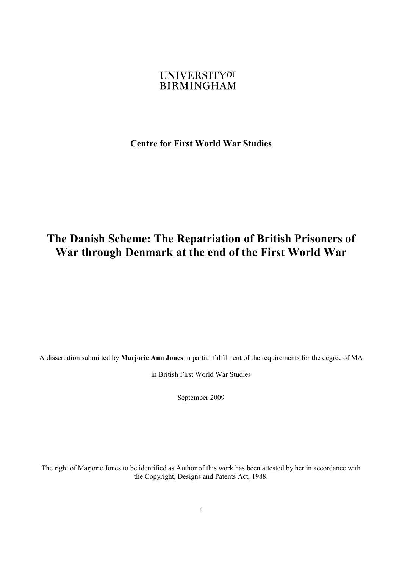#### **UNIVERSITYOF BIRMINGHAM**

**Centre for First World War Studies** 

# **The Danish Scheme: The Repatriation of British Prisoners of War through Denmark at the end of the First World War**

A dissertation submitted by **Marjorie Ann Jones** in partial fulfilment of the requirements for the degree of MA

in British First World War Studies

September 2009

The right of Marjorie Jones to be identified as Author of this work has been attested by her in accordance with the Copyright, Designs and Patents Act, 1988.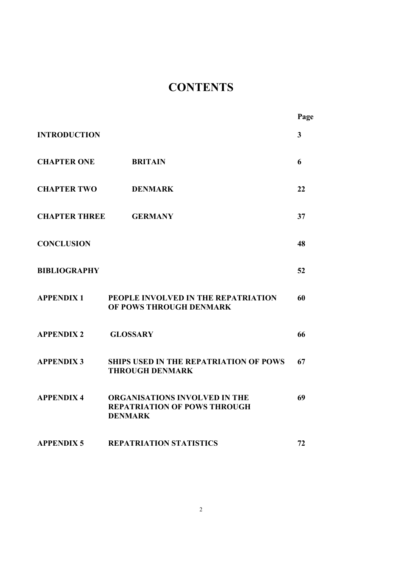# **CONTENTS**

|                      |                                                                                        | Page                    |
|----------------------|----------------------------------------------------------------------------------------|-------------------------|
| <b>INTRODUCTION</b>  |                                                                                        | $\overline{\mathbf{3}}$ |
| <b>CHAPTER ONE</b>   | <b>BRITAIN</b>                                                                         | 6                       |
| <b>CHAPTER TWO</b>   | <b>DENMARK</b>                                                                         | 22                      |
| <b>CHAPTER THREE</b> | <b>GERMANY</b>                                                                         | 37                      |
| <b>CONCLUSION</b>    |                                                                                        | 48                      |
| <b>BIBLIOGRAPHY</b>  |                                                                                        | 52                      |
| <b>APPENDIX1</b>     | PEOPLE INVOLVED IN THE REPATRIATION<br>OF POWS THROUGH DENMARK                         | 60                      |
| <b>APPENDIX 2</b>    | <b>GLOSSARY</b>                                                                        | 66                      |
| <b>APPENDIX 3</b>    | <b>SHIPS USED IN THE REPATRIATION OF POWS</b><br><b>THROUGH DENMARK</b>                | 67                      |
| <b>APPENDIX 4</b>    | ORGANISATIONS INVOLVED IN THE<br><b>REPATRIATION OF POWS THROUGH</b><br><b>DENMARK</b> | 69                      |
| <b>APPENDIX 5</b>    | <b>REPATRIATION STATISTICS</b>                                                         | 72                      |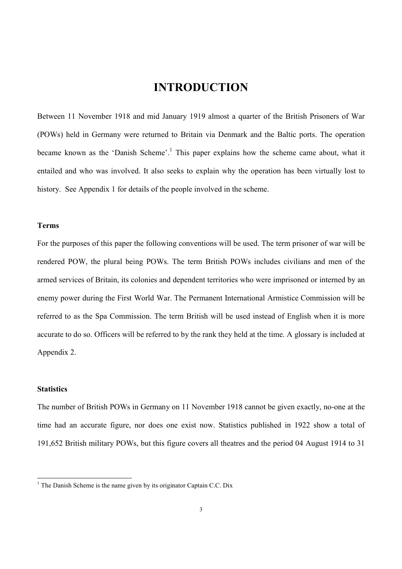# **INTRODUCTION**

Between 11 November 1918 and mid January 1919 almost a quarter of the British Prisoners of War (POWs) held in Germany were returned to Britain via Denmark and the Baltic ports. The operation became known as the 'Danish Scheme'.<sup>1</sup> This paper explains how the scheme came about, what it entailed and who was involved. It also seeks to explain why the operation has been virtually lost to history. See Appendix 1 for details of the people involved in the scheme.

#### **Terms**

For the purposes of this paper the following conventions will be used. The term prisoner of war will be rendered POW, the plural being POWs. The term British POWs includes civilians and men of the armed services of Britain, its colonies and dependent territories who were imprisoned or interned by an enemy power during the First World War. The Permanent International Armistice Commission will be referred to as the Spa Commission. The term British will be used instead of English when it is more accurate to do so. Officers will be referred to by the rank they held at the time. A glossary is included at Appendix 2.

#### **Statistics**

 $\overline{a}$ 

The number of British POWs in Germany on 11 November 1918 cannot be given exactly, no-one at the time had an accurate figure, nor does one exist now. Statistics published in 1922 show a total of 191,652 British military POWs, but this figure covers all theatres and the period 04 August 1914 to 31

<sup>&</sup>lt;sup>1</sup> The Danish Scheme is the name given by its originator Captain C.C. Dix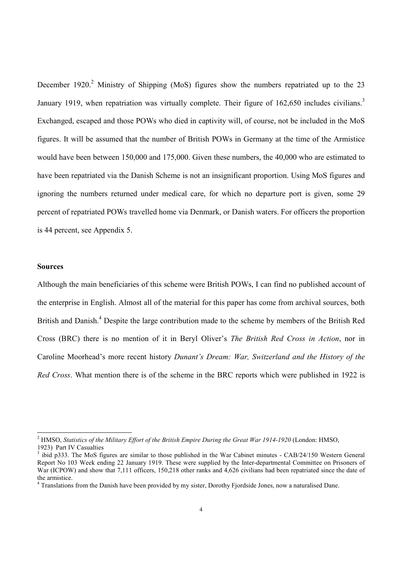December 1920.<sup>2</sup> Ministry of Shipping (MoS) figures show the numbers repatriated up to the 23 January 1919, when repatriation was virtually complete. Their figure of  $162,650$  includes civilians.<sup>3</sup> Exchanged, escaped and those POWs who died in captivity will, of course, not be included in the MoS figures. It will be assumed that the number of British POWs in Germany at the time of the Armistice would have been between 150,000 and 175,000. Given these numbers, the 40,000 who are estimated to have been repatriated via the Danish Scheme is not an insignificant proportion. Using MoS figures and ignoring the numbers returned under medical care, for which no departure port is given, some 29 percent of repatriated POWs travelled home via Denmark, or Danish waters. For officers the proportion is 44 percent, see Appendix 5.

#### **Sources**

 $\overline{a}$ 

Although the main beneficiaries of this scheme were British POWs, I can find no published account of the enterprise in English. Almost all of the material for this paper has come from archival sources, both British and Danish.<sup>4</sup> Despite the large contribution made to the scheme by members of the British Red Cross (BRC) there is no mention of it in Beryl Oliver's *The British Red Cross in Action*, nor in Caroline Moorhead's more recent history *Dunant's Dream: War, Switzerland and the History of the Red Cross*. What mention there is of the scheme in the BRC reports which were published in 1922 is

<sup>2</sup> HMSO, *Statistics of the Military Effort of the British Empire During the Great War 1914-1920* (London: HMSO, 1923) Part IV Casualties

 $3$  ibid p333. The MoS figures are similar to those published in the War Cabinet minutes - CAB/24/150 Western General Report No 103 Week ending 22 January 1919. These were supplied by the Inter-departmental Committee on Prisoners of War (ICPOW) and show that 7,111 officers, 150,218 other ranks and 4,626 civilians had been repatriated since the date of the armistice.

<sup>&</sup>lt;sup>4</sup> Translations from the Danish have been provided by my sister, Dorothy Fjordside Jones, now a naturalised Dane.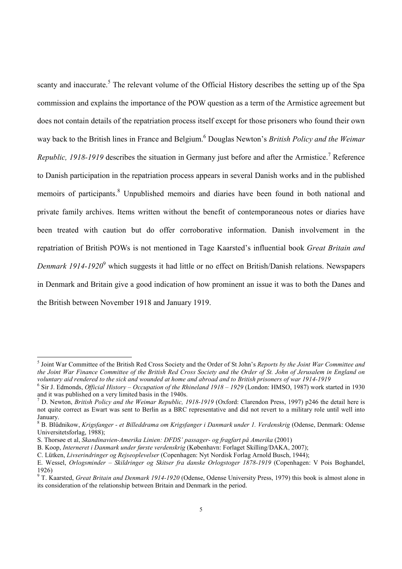scanty and inaccurate.<sup>5</sup> The relevant volume of the Official History describes the setting up of the Spa commission and explains the importance of the POW question as a term of the Armistice agreement but does not contain details of the repatriation process itself except for those prisoners who found their own way back to the British lines in France and Belgium. 6 Douglas Newton's *British Policy and the Weimar Republic, 1918-1919* describes the situation in Germany just before and after the Armistice.<sup>7</sup> Reference to Danish participation in the repatriation process appears in several Danish works and in the published memoirs of participants.<sup>8</sup> Unpublished memoirs and diaries have been found in both national and private family archives. Items written without the benefit of contemporaneous notes or diaries have been treated with caution but do offer corroborative information. Danish involvement in the repatriation of British POWs is not mentioned in Tage Kaarsted's influential book *Great Britain and Denmark 1914-1920*<sup>9</sup> which suggests it had little or no effect on British/Danish relations. Newspapers in Denmark and Britain give a good indication of how prominent an issue it was to both the Danes and the British between November 1918 and January 1919.

<sup>5</sup> Joint War Committee of the British Red Cross Society and the Order of St John's *Reports by the Joint War Committee and the Joint War Finance Committee of the British Red Cross Society and the Order of St. John of Jerusalem in England on voluntary aid rendered to the sick and wounded at home and abroad and to British prisoners of war 1914-1919*

<sup>6</sup> Sir J. Edmonds, *Official History – Occupation of the Rhineland 1918 – 1929* (London: HMSO, 1987) work started in 1930 and it was published on a very limited basis in the 1940s.

<sup>7</sup> D. Newton, *British Policy and the Weimar Republic, 1918-1919* (Oxford: Clarendon Press, 1997) p246 the detail here is not quite correct as Ewart was sent to Berlin as a BRC representative and did not revert to a military role until well into January.

<sup>8</sup> B. Blüdnikow, *Krigsfanger - et Billeddrama om Krigsfanger i Danmark under 1. Verdenskrig* (Odense, Denmark: Odense Universitetsforlag, 1988);

S. Thorsøe et al, *Skandinavien-Amerika Linien: DFDS' passager- og fragfart på Amerika* (2001)

B. Koop, *Interneret i Danmark under første verdenskrig* (København: Forlaget Skilling/DAKA, 2007);

C. Lütken, *Livserindringer og Rejseoplevelser* (Copenhagen: Nyt Nordisk Forlag Arnold Busch, 1944);

E. Wessel, *Orlogsminder – Skildringer og Skitser fra danske Orlogstoger 1878-1919* (Copenhagen: V Pois Boghandel, 1926)

<sup>9</sup> T. Kaarsted, *Great Britain and Denmark 1914-1920* (Odense, Odense University Press, 1979) this book is almost alone in its consideration of the relationship between Britain and Denmark in the period.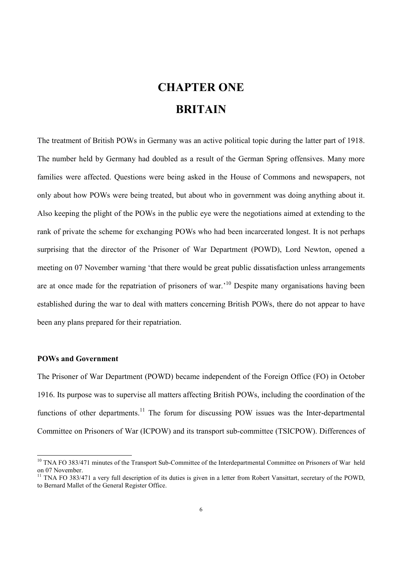# **CHAPTER ONE BRITAIN**

The treatment of British POWs in Germany was an active political topic during the latter part of 1918. The number held by Germany had doubled as a result of the German Spring offensives. Many more families were affected. Questions were being asked in the House of Commons and newspapers, not only about how POWs were being treated, but about who in government was doing anything about it. Also keeping the plight of the POWs in the public eye were the negotiations aimed at extending to the rank of private the scheme for exchanging POWs who had been incarcerated longest. It is not perhaps surprising that the director of the Prisoner of War Department (POWD), Lord Newton, opened a meeting on 07 November warning 'that there would be great public dissatisfaction unless arrangements are at once made for the repatriation of prisoners of war.'<sup>10</sup> Despite many organisations having been established during the war to deal with matters concerning British POWs, there do not appear to have been any plans prepared for their repatriation.

#### **POWs and Government**

 $\overline{a}$ 

The Prisoner of War Department (POWD) became independent of the Foreign Office (FO) in October 1916. Its purpose was to supervise all matters affecting British POWs, including the coordination of the functions of other departments.<sup>11</sup> The forum for discussing POW issues was the Inter-departmental Committee on Prisoners of War (ICPOW) and its transport sub-committee (TSICPOW). Differences of

<sup>&</sup>lt;sup>10</sup> TNA FO 383/471 minutes of the Transport Sub-Committee of the Interdepartmental Committee on Prisoners of War held on 07 November.

 $11$  TNA FO 383/471 a very full description of its duties is given in a letter from Robert Vansittart, secretary of the POWD. to Bernard Mallet of the General Register Office.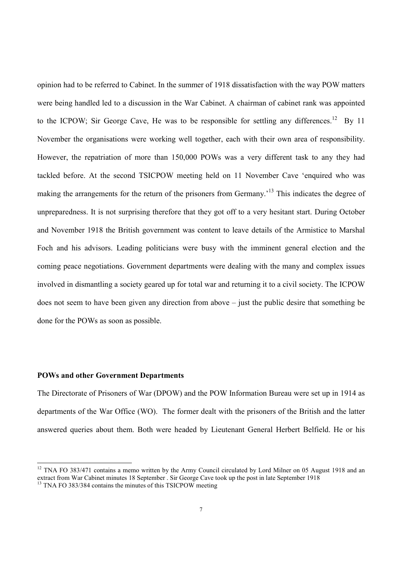opinion had to be referred to Cabinet. In the summer of 1918 dissatisfaction with the way POW matters were being handled led to a discussion in the War Cabinet. A chairman of cabinet rank was appointed to the ICPOW; Sir George Cave, He was to be responsible for settling any differences.<sup>12</sup> By 11 November the organisations were working well together, each with their own area of responsibility. However, the repatriation of more than 150,000 POWs was a very different task to any they had tackled before. At the second TSICPOW meeting held on 11 November Cave 'enquired who was making the arrangements for the return of the prisoners from Germany.<sup>13</sup> This indicates the degree of unpreparedness. It is not surprising therefore that they got off to a very hesitant start. During October and November 1918 the British government was content to leave details of the Armistice to Marshal Foch and his advisors. Leading politicians were busy with the imminent general election and the coming peace negotiations. Government departments were dealing with the many and complex issues involved in dismantling a society geared up for total war and returning it to a civil society. The ICPOW does not seem to have been given any direction from above – just the public desire that something be done for the POWs as soon as possible.

#### **POWs and other Government Departments**

 $\overline{a}$ 

The Directorate of Prisoners of War (DPOW) and the POW Information Bureau were set up in 1914 as departments of the War Office (WO). The former dealt with the prisoners of the British and the latter answered queries about them. Both were headed by Lieutenant General Herbert Belfield. He or his

<sup>&</sup>lt;sup>12</sup> TNA FO 383/471 contains a memo written by the Army Council circulated by Lord Milner on 05 August 1918 and an extract from War Cabinet minutes 18 September . Sir George Cave took up the post in late September 1918

<sup>&</sup>lt;sup>13</sup> TNA FO 383/384 contains the minutes of this TSICPOW meeting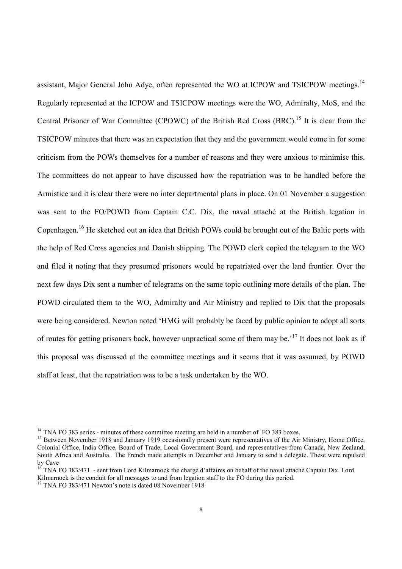assistant, Major General John Adye, often represented the WO at ICPOW and TSICPOW meetings.<sup>14</sup> Regularly represented at the ICPOW and TSICPOW meetings were the WO, Admiralty, MoS, and the Central Prisoner of War Committee (CPOWC) of the British Red Cross (BRC).<sup>15</sup> It is clear from the TSICPOW minutes that there was an expectation that they and the government would come in for some criticism from the POWs themselves for a number of reasons and they were anxious to minimise this. The committees do not appear to have discussed how the repatriation was to be handled before the Armistice and it is clear there were no inter departmental plans in place. On 01 November a suggestion was sent to the FO/POWD from Captain C.C. Dix, the naval attaché at the British legation in Copenhagen.<sup>16</sup> He sketched out an idea that British POWs could be brought out of the Baltic ports with the help of Red Cross agencies and Danish shipping. The POWD clerk copied the telegram to the WO and filed it noting that they presumed prisoners would be repatriated over the land frontier. Over the next few days Dix sent a number of telegrams on the same topic outlining more details of the plan. The POWD circulated them to the WO, Admiralty and Air Ministry and replied to Dix that the proposals were being considered. Newton noted 'HMG will probably be faced by public opinion to adopt all sorts of routes for getting prisoners back, however unpractical some of them may be.'<sup>17</sup> It does not look as if this proposal was discussed at the committee meetings and it seems that it was assumed, by POWD staff at least, that the repatriation was to be a task undertaken by the WO.

<sup>&</sup>lt;sup>14</sup> TNA FO 383 series - minutes of these committee meeting are held in a number of FO 383 boxes.

<sup>&</sup>lt;sup>15</sup> Between November 1918 and January 1919 occasionally present were representatives of the Air Ministry, Home Office, Colonial Office, India Office, Board of Trade, Local Government Board, and representatives from Canada, New Zealand, South Africa and Australia. The French made attempts in December and January to send a delegate. These were repulsed by Cave

 $^{16}$  TNA FO 383/471 - sent from Lord Kilmarnock the chargé d'affaires on behalf of the naval attaché Captain Dix. Lord Kilmarnock is the conduit for all messages to and from legation staff to the FO during this period.

<sup>&</sup>lt;sup>17</sup> TNA FO 383/471 Newton's note is dated 08 November 1918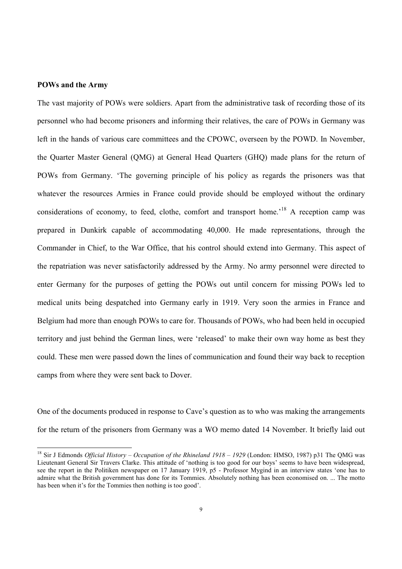#### **POWs and the Army**

 $\overline{a}$ 

The vast majority of POWs were soldiers. Apart from the administrative task of recording those of its personnel who had become prisoners and informing their relatives, the care of POWs in Germany was left in the hands of various care committees and the CPOWC, overseen by the POWD. In November, the Quarter Master General (QMG) at General Head Quarters (GHQ) made plans for the return of POWs from Germany. 'The governing principle of his policy as regards the prisoners was that whatever the resources Armies in France could provide should be employed without the ordinary considerations of economy, to feed, clothe, comfort and transport home.<sup>18</sup> A reception camp was prepared in Dunkirk capable of accommodating 40,000. He made representations, through the Commander in Chief, to the War Office, that his control should extend into Germany. This aspect of the repatriation was never satisfactorily addressed by the Army. No army personnel were directed to enter Germany for the purposes of getting the POWs out until concern for missing POWs led to medical units being despatched into Germany early in 1919. Very soon the armies in France and Belgium had more than enough POWs to care for. Thousands of POWs, who had been held in occupied territory and just behind the German lines, were 'released' to make their own way home as best they could. These men were passed down the lines of communication and found their way back to reception camps from where they were sent back to Dover.

One of the documents produced in response to Cave's question as to who was making the arrangements for the return of the prisoners from Germany was a WO memo dated 14 November. It briefly laid out

<sup>18</sup> Sir J Edmonds *Official History – Occupation of the Rhineland 1918 – 1929* (London: HMSO, 1987) p31 The QMG was Lieutenant General Sir Travers Clarke. This attitude of 'nothing is too good for our boys' seems to have been widespread, see the report in the Politiken newspaper on 17 January 1919, p5 - Professor Mygind in an interview states 'one has to admire what the British government has done for its Tommies. Absolutely nothing has been economised on. ... The motto has been when it's for the Tommies then nothing is too good'.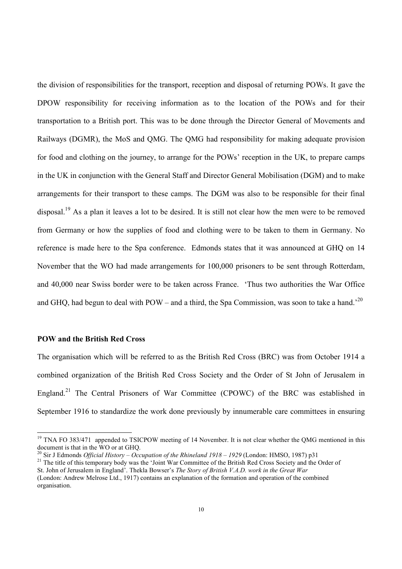the division of responsibilities for the transport, reception and disposal of returning POWs. It gave the DPOW responsibility for receiving information as to the location of the POWs and for their transportation to a British port. This was to be done through the Director General of Movements and Railways (DGMR), the MoS and QMG. The QMG had responsibility for making adequate provision for food and clothing on the journey, to arrange for the POWs' reception in the UK, to prepare camps in the UK in conjunction with the General Staff and Director General Mobilisation (DGM) and to make arrangements for their transport to these camps. The DGM was also to be responsible for their final disposal.<sup>19</sup> As a plan it leaves a lot to be desired. It is still not clear how the men were to be removed from Germany or how the supplies of food and clothing were to be taken to them in Germany. No reference is made here to the Spa conference. Edmonds states that it was announced at GHQ on 14 November that the WO had made arrangements for 100,000 prisoners to be sent through Rotterdam, and 40,000 near Swiss border were to be taken across France. 'Thus two authorities the War Office and GHQ, had begun to deal with  $POW -$  and a third, the Spa Commission, was soon to take a hand.<sup>20</sup>

#### **POW and the British Red Cross**

 $\overline{a}$ 

The organisation which will be referred to as the British Red Cross (BRC) was from October 1914 a combined organization of the British Red Cross Society and the Order of St John of Jerusalem in England.<sup>21</sup> The Central Prisoners of War Committee (CPOWC) of the BRC was established in September 1916 to standardize the work done previously by innumerable care committees in ensuring

<sup>&</sup>lt;sup>19</sup> TNA FO 383/471 appended to TSICPOW meeting of 14 November. It is not clear whether the QMG mentioned in this document is that in the WO or at GHQ.

<sup>20</sup> Sir J Edmonds *Official History – Occupation of the Rhineland 1918 – 1929* (London: HMSO, 1987) p31

<sup>&</sup>lt;sup>21</sup> The title of this temporary body was the 'Joint War Committee of the British Red Cross Society and the Order of

St. John of Jerusalem in England'. Thekla Bowser's *The Story of British V.A.D. work in the Great War* (London: Andrew Melrose Ltd., 1917) contains an explanation of the formation and operation of the combined organisation.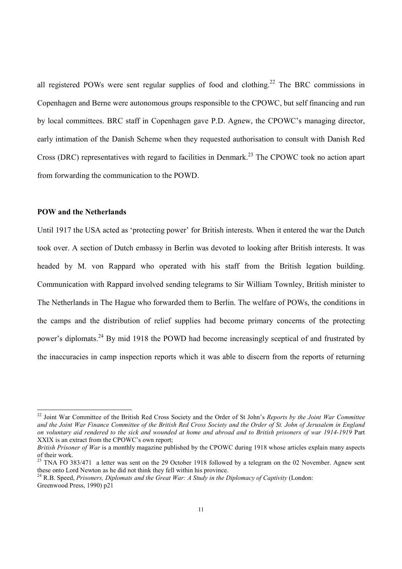all registered POWs were sent regular supplies of food and clothing.<sup>22</sup> The BRC commissions in Copenhagen and Berne were autonomous groups responsible to the CPOWC, but self financing and run by local committees. BRC staff in Copenhagen gave P.D. Agnew, the CPOWC's managing director, early intimation of the Danish Scheme when they requested authorisation to consult with Danish Red Cross (DRC) representatives with regard to facilities in Denmark.<sup>23</sup> The CPOWC took no action apart from forwarding the communication to the POWD.

#### **POW and the Netherlands**

 $\overline{a}$ 

Until 1917 the USA acted as 'protecting power' for British interests. When it entered the war the Dutch took over. A section of Dutch embassy in Berlin was devoted to looking after British interests. It was headed by M. von Rappard who operated with his staff from the British legation building. Communication with Rappard involved sending telegrams to Sir William Townley, British minister to The Netherlands in The Hague who forwarded them to Berlin. The welfare of POWs, the conditions in the camps and the distribution of relief supplies had become primary concerns of the protecting power's diplomats.<sup>24</sup> By mid 1918 the POWD had become increasingly sceptical of and frustrated by the inaccuracies in camp inspection reports which it was able to discern from the reports of returning

<sup>22</sup> Joint War Committee of the British Red Cross Society and the Order of St John's *Reports by the Joint War Committee and the Joint War Finance Committee of the British Red Cross Society and the Order of St. John of Jerusalem in England on voluntary aid rendered to the sick and wounded at home and abroad and to British prisoners of war 1914-1919* Part XXIX is an extract from the CPOWC's own report;

*British Prisoner of War* is a monthly magazine published by the CPOWC during 1918 whose articles explain many aspects of their work.

 $^{23}$  TNA FO 383/471 a letter was sent on the 29 October 1918 followed by a telegram on the 02 November. Agnew sent these onto Lord Newton as he did not think they fell within his province.

<sup>&</sup>lt;sup>24</sup> R.B. Speed, *Prisoners, Diplomats and the Great War: A Study in the Diplomacy of Captivity* (London: Greenwood Press, 1990) p21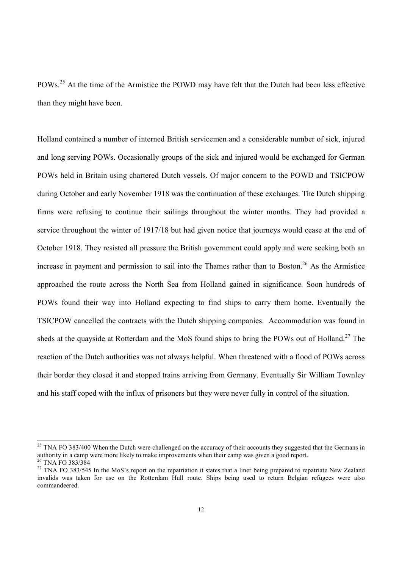POWs.<sup>25</sup> At the time of the Armistice the POWD may have felt that the Dutch had been less effective than they might have been.

Holland contained a number of interned British servicemen and a considerable number of sick, injured and long serving POWs. Occasionally groups of the sick and injured would be exchanged for German POWs held in Britain using chartered Dutch vessels. Of major concern to the POWD and TSICPOW during October and early November 1918 was the continuation of these exchanges. The Dutch shipping firms were refusing to continue their sailings throughout the winter months. They had provided a service throughout the winter of 1917/18 but had given notice that journeys would cease at the end of October 1918. They resisted all pressure the British government could apply and were seeking both an increase in payment and permission to sail into the Thames rather than to Boston.<sup>26</sup> As the Armistice approached the route across the North Sea from Holland gained in significance. Soon hundreds of POWs found their way into Holland expecting to find ships to carry them home. Eventually the TSICPOW cancelled the contracts with the Dutch shipping companies. Accommodation was found in sheds at the quayside at Rotterdam and the MoS found ships to bring the POWs out of Holland.<sup>27</sup> The reaction of the Dutch authorities was not always helpful. When threatened with a flood of POWs across their border they closed it and stopped trains arriving from Germany. Eventually Sir William Townley and his staff coped with the influx of prisoners but they were never fully in control of the situation.

l

 $25$  TNA FO 383/400 When the Dutch were challenged on the accuracy of their accounts they suggested that the Germans in authority in a camp were more likely to make improvements when their camp was given a good report. <sup>26</sup> TNA FO 383/384

<sup>&</sup>lt;sup>27</sup> TNA FO 383/545 In the MoS's report on the repatriation it states that a liner being prepared to repatriate New Zealand invalids was taken for use on the Rotterdam Hull route. Ships being used to return Belgian refugees were also commandeered.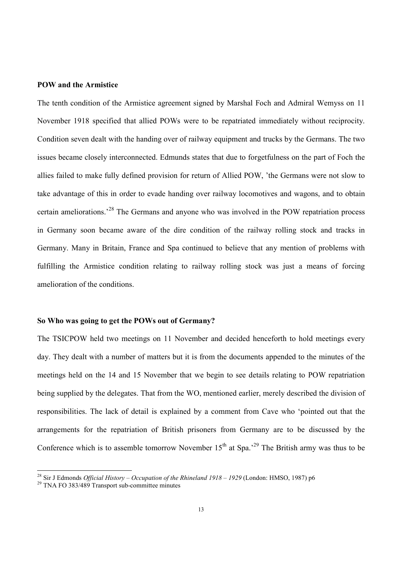#### **POW and the Armistice**

The tenth condition of the Armistice agreement signed by Marshal Foch and Admiral Wemyss on 11 November 1918 specified that allied POWs were to be repatriated immediately without reciprocity. Condition seven dealt with the handing over of railway equipment and trucks by the Germans. The two issues became closely interconnected. Edmunds states that due to forgetfulness on the part of Foch the allies failed to make fully defined provision for return of Allied POW, 'the Germans were not slow to take advantage of this in order to evade handing over railway locomotives and wagons, and to obtain certain ameliorations.<sup>28</sup> The Germans and anyone who was involved in the POW repatriation process in Germany soon became aware of the dire condition of the railway rolling stock and tracks in Germany. Many in Britain, France and Spa continued to believe that any mention of problems with fulfilling the Armistice condition relating to railway rolling stock was just a means of forcing amelioration of the conditions.

#### **So Who was going to get the POWs out of Germany?**

The TSICPOW held two meetings on 11 November and decided henceforth to hold meetings every day. They dealt with a number of matters but it is from the documents appended to the minutes of the meetings held on the 14 and 15 November that we begin to see details relating to POW repatriation being supplied by the delegates. That from the WO, mentioned earlier, merely described the division of responsibilities. The lack of detail is explained by a comment from Cave who 'pointed out that the arrangements for the repatriation of British prisoners from Germany are to be discussed by the Conference which is to assemble tomorrow November  $15<sup>th</sup>$  at Spa.<sup>29</sup> The British army was thus to be

<sup>28</sup> Sir J Edmonds *Official History – Occupation of the Rhineland 1918 – 1929* (London: HMSO, 1987) p6

<sup>&</sup>lt;sup>29</sup> TNA FO 383/489 Transport sub-committee minutes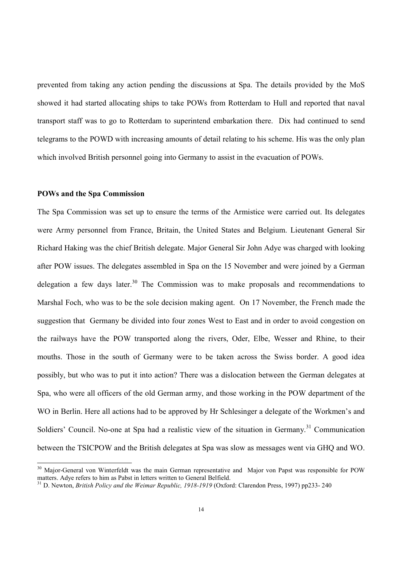prevented from taking any action pending the discussions at Spa. The details provided by the MoS showed it had started allocating ships to take POWs from Rotterdam to Hull and reported that naval transport staff was to go to Rotterdam to superintend embarkation there. Dix had continued to send telegrams to the POWD with increasing amounts of detail relating to his scheme. His was the only plan which involved British personnel going into Germany to assist in the evacuation of POWs.

#### **POWs and the Spa Commission**

 $\overline{a}$ 

The Spa Commission was set up to ensure the terms of the Armistice were carried out. Its delegates were Army personnel from France, Britain, the United States and Belgium. Lieutenant General Sir Richard Haking was the chief British delegate. Major General Sir John Adye was charged with looking after POW issues. The delegates assembled in Spa on the 15 November and were joined by a German delegation a few days later.<sup>30</sup> The Commission was to make proposals and recommendations to Marshal Foch, who was to be the sole decision making agent. On 17 November, the French made the suggestion that Germany be divided into four zones West to East and in order to avoid congestion on the railways have the POW transported along the rivers, Oder, Elbe, Wesser and Rhine, to their mouths. Those in the south of Germany were to be taken across the Swiss border. A good idea possibly, but who was to put it into action? There was a dislocation between the German delegates at Spa, who were all officers of the old German army, and those working in the POW department of the WO in Berlin. Here all actions had to be approved by Hr Schlesinger a delegate of the Workmen's and Soldiers' Council. No-one at Spa had a realistic view of the situation in Germany.<sup>31</sup> Communication between the TSICPOW and the British delegates at Spa was slow as messages went via GHQ and WO.

 $30$  Major-General von Winterfeldt was the main German representative and Major von Papst was responsible for POW matters. Adye refers to him as Pabst in letters written to General Belfield.

<sup>&</sup>lt;sup>31</sup> D. Newton, *British Policy and the Weimar Republic, 1918-1919* (Oxford: Clarendon Press, 1997) pp233-240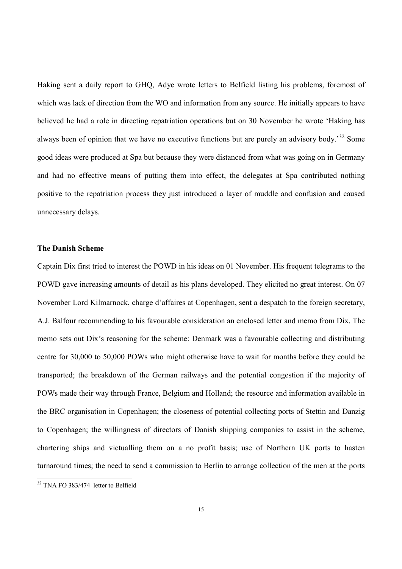Haking sent a daily report to GHQ, Adye wrote letters to Belfield listing his problems, foremost of which was lack of direction from the WO and information from any source. He initially appears to have believed he had a role in directing repatriation operations but on 30 November he wrote 'Haking has always been of opinion that we have no executive functions but are purely an advisory body.<sup>32</sup> Some good ideas were produced at Spa but because they were distanced from what was going on in Germany and had no effective means of putting them into effect, the delegates at Spa contributed nothing positive to the repatriation process they just introduced a layer of muddle and confusion and caused unnecessary delays.

#### **The Danish Scheme**

Captain Dix first tried to interest the POWD in his ideas on 01 November. His frequent telegrams to the POWD gave increasing amounts of detail as his plans developed. They elicited no great interest. On 07 November Lord Kilmarnock, charge d'affaires at Copenhagen, sent a despatch to the foreign secretary, A.J. Balfour recommending to his favourable consideration an enclosed letter and memo from Dix. The memo sets out Dix's reasoning for the scheme: Denmark was a favourable collecting and distributing centre for 30,000 to 50,000 POWs who might otherwise have to wait for months before they could be transported; the breakdown of the German railways and the potential congestion if the majority of POWs made their way through France, Belgium and Holland; the resource and information available in the BRC organisation in Copenhagen; the closeness of potential collecting ports of Stettin and Danzig to Copenhagen; the willingness of directors of Danish shipping companies to assist in the scheme, chartering ships and victualling them on a no profit basis; use of Northern UK ports to hasten turnaround times; the need to send a commission to Berlin to arrange collection of the men at the ports

<sup>&</sup>lt;sup>32</sup> TNA FO 383/474 letter to Belfield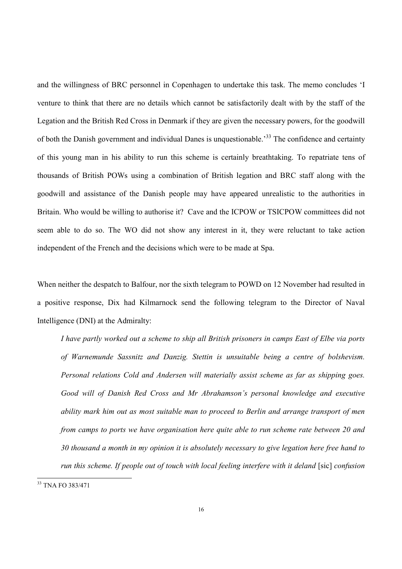and the willingness of BRC personnel in Copenhagen to undertake this task. The memo concludes 'I venture to think that there are no details which cannot be satisfactorily dealt with by the staff of the Legation and the British Red Cross in Denmark if they are given the necessary powers, for the goodwill of both the Danish government and individual Danes is unquestionable.<sup>33</sup> The confidence and certainty of this young man in his ability to run this scheme is certainly breathtaking. To repatriate tens of thousands of British POWs using a combination of British legation and BRC staff along with the goodwill and assistance of the Danish people may have appeared unrealistic to the authorities in Britain. Who would be willing to authorise it? Cave and the ICPOW or TSICPOW committees did not seem able to do so. The WO did not show any interest in it, they were reluctant to take action independent of the French and the decisions which were to be made at Spa.

When neither the despatch to Balfour, nor the sixth telegram to POWD on 12 November had resulted in a positive response, Dix had Kilmarnock send the following telegram to the Director of Naval Intelligence (DNI) at the Admiralty:

*I have partly worked out a scheme to ship all British prisoners in camps East of Elbe via ports of Warnemunde Sassnitz and Danzig. Stettin is unsuitable being a centre of bolshevism. Personal relations Cold and Andersen will materially assist scheme as far as shipping goes. Good will of Danish Red Cross and Mr Abrahamson's personal knowledge and executive ability mark him out as most suitable man to proceed to Berlin and arrange transport of men from camps to ports we have organisation here quite able to run scheme rate between 20 and 30 thousand a month in my opinion it is absolutely necessary to give legation here free hand to run this scheme. If people out of touch with local feeling interfere with it deland* [sic] *confusion* 

<sup>33</sup> TNA FO 383/471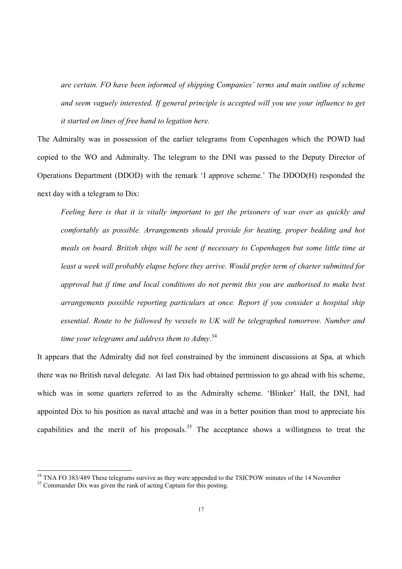*are certain. FO have been informed of shipping Companies' terms and main outline of scheme and seem vaguely interested. If general principle is accepted will you use your influence to get it started on lines of free hand to legation here.* 

The Admiralty was in possession of the earlier telegrams from Copenhagen which the POWD had copied to the WO and Admiralty. The telegram to the DNI was passed to the Deputy Director of Operations Department (DDOD) with the remark 'I approve scheme.' The DDOD(H) responded the next day with a telegram to Dix:

*Feeling here is that it is vitally important to get the prisoners of war over as quickly and comfortably as possible. Arrangements should provide for heating, proper bedding and hot meals on board. British ships will be sent if necessary to Copenhagen but some little time at least a week will probably elapse before they arrive. Would prefer term of charter submitted for approval but if time and local conditions do not permit this you are authorised to make best arrangements possible reporting particulars at once. Report if you consider a hospital ship essential. Route to be followed by vessels to UK will be telegraphed tomorrow. Number and time your telegrams and address them to Admy*. 34

It appears that the Admiralty did not feel constrained by the imminent discussions at Spa, at which there was no British naval delegate. At last Dix had obtained permission to go ahead with his scheme, which was in some quarters referred to as the Admiralty scheme. 'Blinker' Hall, the DNI, had appointed Dix to his position as naval attaché and was in a better position than most to appreciate his capabilities and the merit of his proposals.<sup>35</sup> The acceptance shows a willingness to treat the

<sup>&</sup>lt;sup>34</sup> TNA FO 383/489 These telegrams survive as they were appended to the TSICPOW minutes of the 14 November

<sup>&</sup>lt;sup>35</sup> Commander Dix was given the rank of acting Captain for this posting.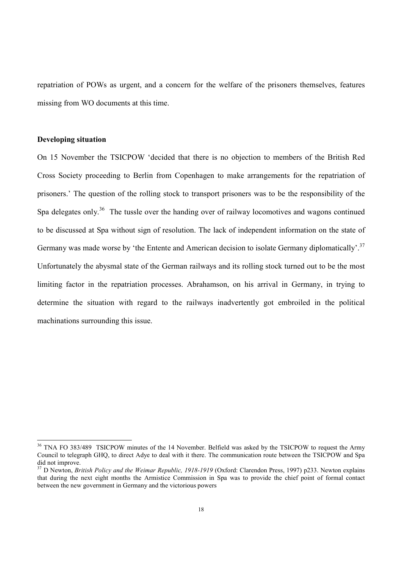repatriation of POWs as urgent, and a concern for the welfare of the prisoners themselves, features missing from WO documents at this time.

#### **Developing situation**

l

On 15 November the TSICPOW 'decided that there is no objection to members of the British Red Cross Society proceeding to Berlin from Copenhagen to make arrangements for the repatriation of prisoners.' The question of the rolling stock to transport prisoners was to be the responsibility of the Spa delegates only.<sup>36</sup> The tussle over the handing over of railway locomotives and wagons continued to be discussed at Spa without sign of resolution. The lack of independent information on the state of Germany was made worse by 'the Entente and American decision to isolate Germany diplomatically'.<sup>37</sup> Unfortunately the abysmal state of the German railways and its rolling stock turned out to be the most limiting factor in the repatriation processes. Abrahamson, on his arrival in Germany, in trying to determine the situation with regard to the railways inadvertently got embroiled in the political machinations surrounding this issue.

<sup>&</sup>lt;sup>36</sup> TNA FO 383/489 TSICPOW minutes of the 14 November. Belfield was asked by the TSICPOW to request the Army Council to telegraph GHQ, to direct Adye to deal with it there. The communication route between the TSICPOW and Spa did not improve.

<sup>&</sup>lt;sup>37</sup> D Newton, *British Policy and the Weimar Republic, 1918-1919* (Oxford: Clarendon Press, 1997) p233. Newton explains that during the next eight months the Armistice Commission in Spa was to provide the chief point of formal contact between the new government in Germany and the victorious powers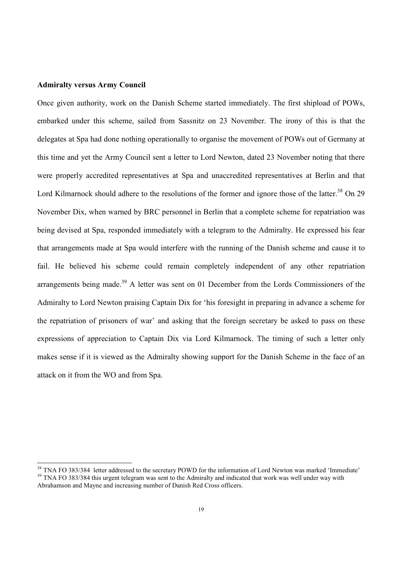#### **Admiralty versus Army Council**

 $\overline{a}$ 

Once given authority, work on the Danish Scheme started immediately. The first shipload of POWs, embarked under this scheme, sailed from Sassnitz on 23 November. The irony of this is that the delegates at Spa had done nothing operationally to organise the movement of POWs out of Germany at this time and yet the Army Council sent a letter to Lord Newton, dated 23 November noting that there were properly accredited representatives at Spa and unaccredited representatives at Berlin and that Lord Kilmarnock should adhere to the resolutions of the former and ignore those of the latter.<sup>38</sup> On 29 November Dix, when warned by BRC personnel in Berlin that a complete scheme for repatriation was being devised at Spa, responded immediately with a telegram to the Admiralty. He expressed his fear that arrangements made at Spa would interfere with the running of the Danish scheme and cause it to fail. He believed his scheme could remain completely independent of any other repatriation arrangements being made.<sup>39</sup> A letter was sent on 01 December from the Lords Commissioners of the Admiralty to Lord Newton praising Captain Dix for 'his foresight in preparing in advance a scheme for the repatriation of prisoners of war' and asking that the foreign secretary be asked to pass on these expressions of appreciation to Captain Dix via Lord Kilmarnock. The timing of such a letter only makes sense if it is viewed as the Admiralty showing support for the Danish Scheme in the face of an attack on it from the WO and from Spa.

<sup>&</sup>lt;sup>38</sup> TNA FO 383/384 letter addressed to the secretary POWD for the information of Lord Newton was marked 'Immediate'  $39$  TNA FO 383/384 this urgent telegram was sent to the Admiralty and indicated that work was well under way with Abrahamson and Mayne and increasing number of Danish Red Cross officers.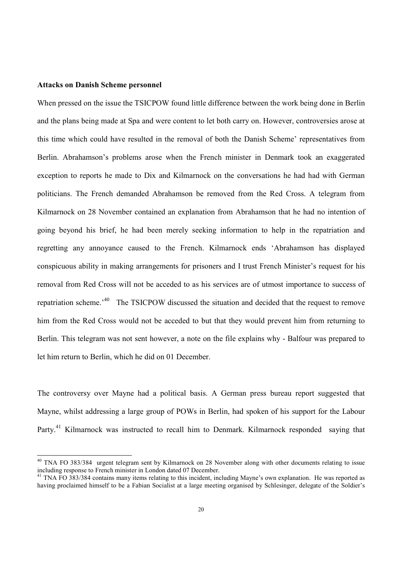#### **Attacks on Danish Scheme personnel**

 $\overline{a}$ 

When pressed on the issue the TSICPOW found little difference between the work being done in Berlin and the plans being made at Spa and were content to let both carry on. However, controversies arose at this time which could have resulted in the removal of both the Danish Scheme' representatives from Berlin. Abrahamson's problems arose when the French minister in Denmark took an exaggerated exception to reports he made to Dix and Kilmarnock on the conversations he had had with German politicians. The French demanded Abrahamson be removed from the Red Cross. A telegram from Kilmarnock on 28 November contained an explanation from Abrahamson that he had no intention of going beyond his brief, he had been merely seeking information to help in the repatriation and regretting any annoyance caused to the French. Kilmarnock ends 'Abrahamson has displayed conspicuous ability in making arrangements for prisoners and I trust French Minister's request for his removal from Red Cross will not be acceded to as his services are of utmost importance to success of repatriation scheme.'<sup>40</sup> The TSICPOW discussed the situation and decided that the request to remove him from the Red Cross would not be acceded to but that they would prevent him from returning to Berlin. This telegram was not sent however, a note on the file explains why - Balfour was prepared to let him return to Berlin, which he did on 01 December.

The controversy over Mayne had a political basis. A German press bureau report suggested that Mayne, whilst addressing a large group of POWs in Berlin, had spoken of his support for the Labour Party.<sup>41</sup> Kilmarnock was instructed to recall him to Denmark. Kilmarnock responded saying that

<sup>&</sup>lt;sup>40</sup> TNA FO 383/384 urgent telegram sent by Kilmarnock on 28 November along with other documents relating to issue including response to French minister in London dated 07 December.

<sup>&</sup>lt;sup>41</sup> TNA FO 383/384 contains many items relating to this incident, including Mayne's own explanation. He was reported as having proclaimed himself to be a Fabian Socialist at a large meeting organised by Schlesinger, delegate of the Soldier's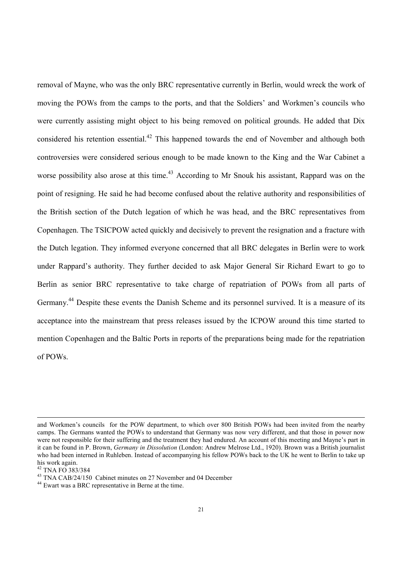removal of Mayne, who was the only BRC representative currently in Berlin, would wreck the work of moving the POWs from the camps to the ports, and that the Soldiers' and Workmen's councils who were currently assisting might object to his being removed on political grounds. He added that Dix considered his retention essential.<sup>42</sup> This happened towards the end of November and although both controversies were considered serious enough to be made known to the King and the War Cabinet a worse possibility also arose at this time.<sup>43</sup> According to Mr Snouk his assistant. Rappard was on the point of resigning. He said he had become confused about the relative authority and responsibilities of the British section of the Dutch legation of which he was head, and the BRC representatives from Copenhagen. The TSICPOW acted quickly and decisively to prevent the resignation and a fracture with the Dutch legation. They informed everyone concerned that all BRC delegates in Berlin were to work under Rappard's authority. They further decided to ask Major General Sir Richard Ewart to go to Berlin as senior BRC representative to take charge of repatriation of POWs from all parts of Germany.<sup>44</sup> Despite these events the Danish Scheme and its personnel survived. It is a measure of its acceptance into the mainstream that press releases issued by the ICPOW around this time started to mention Copenhagen and the Baltic Ports in reports of the preparations being made for the repatriation of POWs.

and Workmen's councils for the POW department, to which over 800 British POWs had been invited from the nearby camps. The Germans wanted the POWs to understand that Germany was now very different, and that those in power now were not responsible for their suffering and the treatment they had endured. An account of this meeting and Mayne's part in it can be found in P. Brown, *Germany in Dissolution* (London: Andrew Melrose Ltd., 1920). Brown was a British journalist who had been interned in Ruhleben. Instead of accompanying his fellow POWs back to the UK he went to Berlin to take up his work again.

<sup>42</sup> TNA FO 383/384

<sup>43</sup> TNA CAB/24/150 Cabinet minutes on 27 November and 04 December

<sup>44</sup> Ewart was a BRC representative in Berne at the time.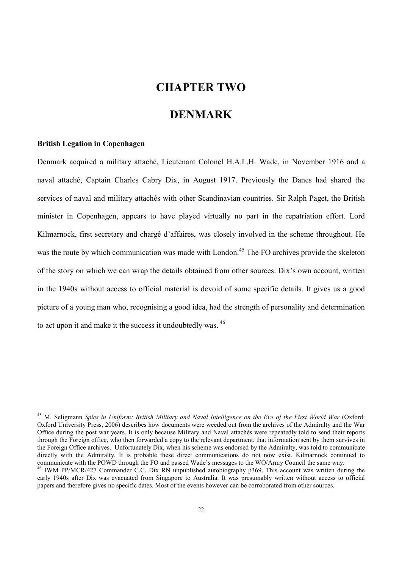#### **CHAPTER TWO**

#### **DENMARK**

#### **British Legation in Copenhagen**

 $\overline{a}$ 

Denmark acquired a military attaché, Lieutenant Colonel H.A.L.H. Wade, in November 1916 and a naval attaché, Captain Charles Cabry Dix, in August 1917. Previously the Danes had shared the services of naval and military attachés with other Scandinavian countries. Sir Ralph Paget, the British minister in Copenhagen, appears to have played virtually no part in the repatriation effort. Lord Kilmarnock, first secretary and chargé d'affaires, was closely involved in the scheme throughout. He was the route by which communication was made with London.<sup>45</sup> The FO archives provide the skeleton of the story on which we can wrap the details obtained from other sources. Dix's own account, written in the 1940s without access to official material is devoid of some specific details. It gives us a good picture of a young man who, recognising a good idea, had the strength of personality and determination to act upon it and make it the success it undoubtedly was. <sup>46</sup>

<sup>45</sup> M. Seligmann *Spies in Uniform: British Military and Naval Intelligence on the Eve of the First World War* (Oxford: Oxford University Press, 2006) describes how documents were weeded out from the archives of the Admiralty and the War Office during the post war years. It is only because Military and Naval attachés were repeatedly told to send their reports through the Foreign office, who then forwarded a copy to the relevant department, that information sent by them survives in the Foreign Office archives. Unfortunately Dix, when his scheme was endorsed by the Admiralty, was told to communicate directly with the Admiralty. It is probable these direct communications do not now exist. Kilmarnock continued to communicate with the POWD through the FO and passed Wade's messages to the WO/Army Council the same way.

<sup>&</sup>lt;sup>46</sup> IWM PP/MCR/427 Commander C.C. Dix RN unpublished autobiography p369. This account was written during the early 1940s after Dix was evacuated from Singapore to Australia. It was presumably written without access to official papers and therefore gives no specific dates. Most of the events however can be corroborated from other sources.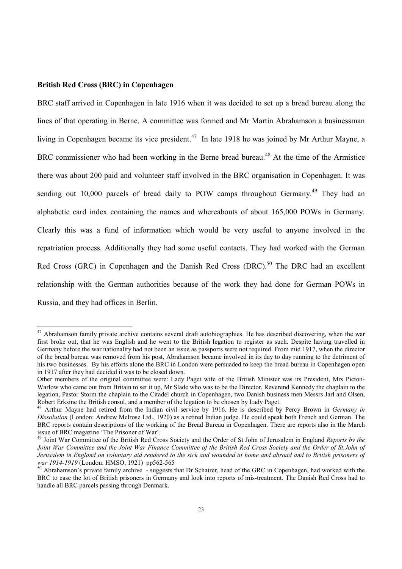#### **British Red Cross (BRC) in Copenhagen**

l

BRC staff arrived in Copenhagen in late 1916 when it was decided to set up a bread bureau along the lines of that operating in Berne. A committee was formed and Mr Martin Abrahamson a businessman living in Copenhagen became its vice president.<sup>47</sup> In late 1918 he was joined by Mr Arthur Mayne, a BRC commissioner who had been working in the Berne bread bureau.<sup>48</sup> At the time of the Armistice there was about 200 paid and volunteer staff involved in the BRC organisation in Copenhagen. It was sending out 10,000 parcels of bread daily to POW camps throughout Germany.<sup>49</sup> They had an alphabetic card index containing the names and whereabouts of about 165,000 POWs in Germany. Clearly this was a fund of information which would be very useful to anyone involved in the repatriation process. Additionally they had some useful contacts. They had worked with the German Red Cross (GRC) in Copenhagen and the Danish Red Cross (DRC).<sup>50</sup> The DRC had an excellent relationship with the German authorities because of the work they had done for German POWs in Russia, and they had offices in Berlin.

 $47$  Abrahamson family private archive contains several draft autobiographies. He has described discovering, when the war first broke out, that he was English and he went to the British legation to register as such. Despite having travelled in Germany before the war nationality had not been an issue as passports were not required. From mid 1917, when the director of the bread bureau was removed from his post, Abrahamson became involved in its day to day running to the detriment of his two businesses. By his efforts alone the BRC in London were persuaded to keep the bread bureau in Copenhagen open in 1917 after they had decided it was to be closed down.

Other members of the original committee were: Lady Paget wife of the British Minister was its President, Mrs Picton-Warlow who came out from Britain to set it up, Mr Slade who was to be the Director, Reverend Kennedy the chaplain to the legation, Pastor Storm the chaplain to the Citadel church in Copenhagen, two Danish business men Messrs Jarl and Olsen, Robert Erksine the British consul, and a member of the legation to be chosen by Lady Paget.

<sup>48</sup> Arthur Mayne had retired from the Indian civil service by 1916. He is described by Percy Brown in *Germany in Dissolution* (London: Andrew Melrose Ltd., 1920) as a retired Indian judge. He could speak both French and German. The BRC reports contain descriptions of the working of the Bread Bureau in Copenhagen. There are reports also in the March issue of BRC magazine 'The Prisoner of War'.

<sup>49</sup> Joint War Committee of the British Red Cross Society and the Order of St John of Jerusalem in England *Reports by the Joint War Committee and the Joint War Finance Committee of the British Red Cross Society and the Order of St.John of Jerusalem in England on voluntary aid rendered to the sick and wounded at home and abroad and to British prisoners of war 1914-1919* (London: HMSO, 1921) pp562-565

 $50$  Abrahamson's private family archive  $\overline{ }$ -suggests that Dr Schairer, head of the GRC in Copenhagen, had worked with the BRC to ease the lot of British prisoners in Germany and look into reports of mis-treatment. The Danish Red Cross had to handle all BRC parcels passing through Denmark.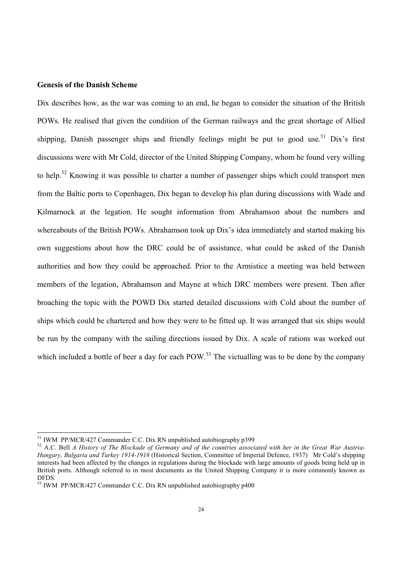#### **Genesis of the Danish Scheme**

Dix describes how, as the war was coming to an end, he began to consider the situation of the British POWs. He realised that given the condition of the German railways and the great shortage of Allied shipping, Danish passenger ships and friendly feelings might be put to good use.<sup>51</sup> Dix's first discussions were with Mr Cold, director of the United Shipping Company, whom he found very willing to help.<sup>52</sup> Knowing it was possible to charter a number of passenger ships which could transport men from the Baltic ports to Copenhagen, Dix began to develop his plan during discussions with Wade and Kilmarnock at the legation. He sought information from Abrahamson about the numbers and whereabouts of the British POWs. Abrahamson took up Dix's idea immediately and started making his own suggestions about how the DRC could be of assistance, what could be asked of the Danish authorities and how they could be approached. Prior to the Armistice a meeting was held between members of the legation, Abrahamson and Mayne at which DRC members were present. Then after broaching the topic with the POWD Dix started detailed discussions with Cold about the number of ships which could be chartered and how they were to be fitted up. It was arranged that six ships would be run by the company with the sailing directions issued by Dix. A scale of rations was worked out which included a bottle of beer a day for each  $POW<sup>53</sup>$ . The victualling was to be done by the company

<sup>51</sup> IWM PP/MCR/427 Commander C.C. Dix RN unpublished autobiography p399

<sup>52</sup> A.C. Bell *A History of The Blockade of Germany and of the countries associated with her in the Great War Austria-Hungary, Bulgaria and Turkey 1914-1918* (Historical Section, Committee of Imperial Defence, 1937) Mr Cold's shipping interests had been affected by the changes in regulations during the blockade with large amounts of goods being held up in British ports. Although referred to in most documents as the United Shipping Company it is more commonly known as DFDS.

<sup>53</sup> IWM PP/MCR/427 Commander C.C. Dix RN unpublished autobiography p400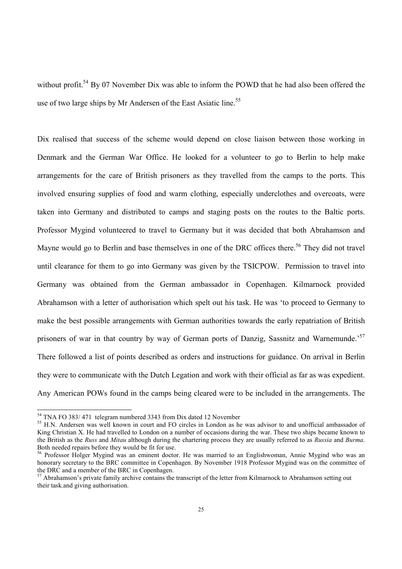without profit.<sup>54</sup> By 07 November Dix was able to inform the POWD that he had also been offered the use of two large ships by Mr Andersen of the East Asiatic line.<sup>55</sup>

Dix realised that success of the scheme would depend on close liaison between those working in Denmark and the German War Office. He looked for a volunteer to go to Berlin to help make arrangements for the care of British prisoners as they travelled from the camps to the ports. This involved ensuring supplies of food and warm clothing, especially underclothes and overcoats, were taken into Germany and distributed to camps and staging posts on the routes to the Baltic ports. Professor Mygind volunteered to travel to Germany but it was decided that both Abrahamson and Mayne would go to Berlin and base themselves in one of the DRC offices there.<sup>56</sup> They did not travel until clearance for them to go into Germany was given by the TSICPOW. Permission to travel into Germany was obtained from the German ambassador in Copenhagen. Kilmarnock provided Abrahamson with a letter of authorisation which spelt out his task. He was 'to proceed to Germany to make the best possible arrangements with German authorities towards the early repatriation of British prisoners of war in that country by way of German ports of Danzig, Sassnitz and Warnemunde.<sup>57</sup> There followed a list of points described as orders and instructions for guidance. On arrival in Berlin they were to communicate with the Dutch Legation and work with their official as far as was expedient. Any American POWs found in the camps being cleared were to be included in the arrangements. The

<sup>54</sup> TNA FO 383/ 471 telegram numbered 3343 from Dix dated 12 November

<sup>&</sup>lt;sup>55</sup> H.N. Andersen was well known in court and FO circles in London as he was advisor to and unofficial ambassador of King Christian X. He had travelled to London on a number of occasions during the war. These two ships became known to the British as the *Russ* and *Mitau* although during the chartering process they are usually referred to as *Russia* and *Burma*. Both needed repairs before they would be fit for use.

<sup>&</sup>lt;sup>56</sup> Professor Holger Mygind was an eminent doctor. He was married to an Englishwoman, Annie Mygind who was an honorary secretary to the BRC committee in Copenhagen. By November 1918 Professor Mygind was on the committee of the DRC and a member of the BRC in Copenhagen.

 $57$  Abrahamson's private family archive contains the transcript of the letter from Kilmarnock to Abrahamson setting out their task.and giving authorisation.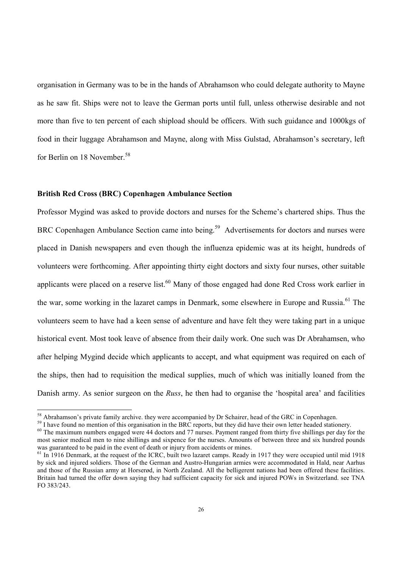organisation in Germany was to be in the hands of Abrahamson who could delegate authority to Mayne as he saw fit. Ships were not to leave the German ports until full, unless otherwise desirable and not more than five to ten percent of each shipload should be officers. With such guidance and 1000kgs of food in their luggage Abrahamson and Mayne, along with Miss Gulstad, Abrahamson's secretary, left for Berlin on 18 November.<sup>58</sup>

#### **British Red Cross (BRC) Copenhagen Ambulance Section**

 $\overline{a}$ 

Professor Mygind was asked to provide doctors and nurses for the Scheme's chartered ships. Thus the BRC Copenhagen Ambulance Section came into being.<sup>59</sup> Advertisements for doctors and nurses were placed in Danish newspapers and even though the influenza epidemic was at its height, hundreds of volunteers were forthcoming. After appointing thirty eight doctors and sixty four nurses, other suitable applicants were placed on a reserve list.<sup>60</sup> Many of those engaged had done Red Cross work earlier in the war, some working in the lazaret camps in Denmark, some elsewhere in Europe and Russia.<sup>61</sup> The volunteers seem to have had a keen sense of adventure and have felt they were taking part in a unique historical event. Most took leave of absence from their daily work. One such was Dr Abrahamsen, who after helping Mygind decide which applicants to accept, and what equipment was required on each of the ships, then had to requisition the medical supplies, much of which was initially loaned from the Danish army. As senior surgeon on the *Russ*, he then had to organise the 'hospital area' and facilities

<sup>&</sup>lt;sup>58</sup> Abrahamson's private family archive. they were accompanied by Dr Schairer, head of the GRC in Copenhagen.

<sup>&</sup>lt;sup>59</sup> I have found no mention of this organisation in the BRC reports, but they did have their own letter headed stationery.

 $60$  The maximum numbers engaged were 44 doctors and 77 nurses. Payment ranged from thirty five shillings per day for the most senior medical men to nine shillings and sixpence for the nurses. Amounts of between three and six hundred pounds was guaranteed to be paid in the event of death or injury from accidents or mines.

 $61$  In 1916 Denmark, at the request of the ICRC, built two lazaret camps. Ready in 1917 they were occupied until mid 1918 by sick and injured soldiers. Those of the German and Austro-Hungarian armies were accommodated in Hald, near Aarhus and those of the Russian army at Horserød, in North Zealand. All the belligerent nations had been offered these facilities. Britain had turned the offer down saying they had sufficient capacity for sick and injured POWs in Switzerland. see TNA FO 383/243.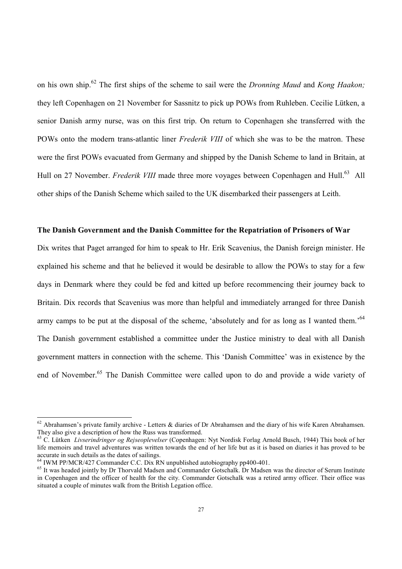on his own ship.<sup>62</sup> The first ships of the scheme to sail were the *Dronning Maud* and *Kong Haakon;* they left Copenhagen on 21 November for Sassnitz to pick up POWs from Ruhleben. Cecilie Lütken, a senior Danish army nurse, was on this first trip. On return to Copenhagen she transferred with the POWs onto the modern trans-atlantic liner *Frederik VIII* of which she was to be the matron. These were the first POWs evacuated from Germany and shipped by the Danish Scheme to land in Britain, at Hull on 27 November. *Frederik VIII* made three more voyages between Copenhagen and Hull.<sup>63</sup> All other ships of the Danish Scheme which sailed to the UK disembarked their passengers at Leith.

#### **The Danish Government and the Danish Committee for the Repatriation of Prisoners of War**

Dix writes that Paget arranged for him to speak to Hr. Erik Scavenius, the Danish foreign minister. He explained his scheme and that he believed it would be desirable to allow the POWs to stay for a few days in Denmark where they could be fed and kitted up before recommencing their journey back to Britain. Dix records that Scavenius was more than helpful and immediately arranged for three Danish army camps to be put at the disposal of the scheme, 'absolutely and for as long as I wanted them.'<sup>64</sup> The Danish government established a committee under the Justice ministry to deal with all Danish government matters in connection with the scheme. This 'Danish Committee' was in existence by the end of November.<sup>65</sup> The Danish Committee were called upon to do and provide a wide variety of

 $62$  Abrahamsen's private family archive - Letters & diaries of Dr Abrahamsen and the diary of his wife Karen Abrahamsen. They also give a description of how the Russ was transformed.

<sup>63</sup> C. Lütken *Livserindringer og Rejseoplevelser* (Copenhagen: Nyt Nordisk Forlag Arnold Busch, 1944) This book of her life memoirs and travel adventures was written towards the end of her life but as it is based on diaries it has proved to be accurate in such details as the dates of sailings.

 $64$  IWM PP/MCR/427 Commander C.C. Dix RN unpublished autobiography pp400-401.

 $^{65}$  It was headed jointly by Dr Thorvald Madsen and Commander Gotschalk. Dr Madsen was the director of Serum Institute in Copenhagen and the officer of health for the city. Commander Gotschalk was a retired army officer. Their office was situated a couple of minutes walk from the British Legation office.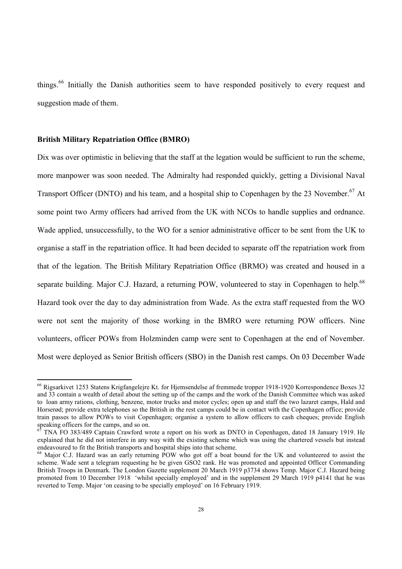things.<sup>66</sup> Initially the Danish authorities seem to have responded positively to every request and suggestion made of them.

#### **British Military Repatriation Office (BMRO)**

 $\overline{a}$ 

Dix was over optimistic in believing that the staff at the legation would be sufficient to run the scheme, more manpower was soon needed. The Admiralty had responded quickly, getting a Divisional Naval Transport Officer (DNTO) and his team, and a hospital ship to Copenhagen by the 23 November.<sup>67</sup> At some point two Army officers had arrived from the UK with NCOs to handle supplies and ordnance. Wade applied, unsuccessfully, to the WO for a senior administrative officer to be sent from the UK to organise a staff in the repatriation office. It had been decided to separate off the repatriation work from that of the legation. The British Military Repatriation Office (BRMO) was created and housed in a separate building. Major C.J. Hazard, a returning POW, volunteered to stay in Copenhagen to help.<sup>68</sup> Hazard took over the day to day administration from Wade. As the extra staff requested from the WO were not sent the majority of those working in the BMRO were returning POW officers. Nine volunteers, officer POWs from Holzminden camp were sent to Copenhagen at the end of November. Most were deployed as Senior British officers (SBO) in the Danish rest camps. On 03 December Wade

<sup>66</sup> Rigsarkivet 1253 Statens Krigfangelejre Kt. for Hjemsendelse af fremmede tropper 1918-1920 Korrespondence Boxes 32 and 33 contain a wealth of detail about the setting up of the camps and the work of the Danish Committee which was asked to loan army rations, clothing, benzene, motor trucks and motor cycles; open up and staff the two lazaret camps, Hald and Horserød; provide extra telephones so the British in the rest camps could be in contact with the Copenhagen office; provide train passes to allow POWs to visit Copenhagen; organise a system to allow officers to cash cheques; provide English speaking officers for the camps, and so on.

TNA FO 383/489 Captain Crawford wrote a report on his work as DNTO in Copenhagen, dated 18 January 1919. He explained that he did not interfere in any way with the existing scheme which was using the chartered vessels but instead endeavoured to fit the British transports and hospital ships into that scheme.

<sup>&</sup>lt;sup>68</sup> Major C.J. Hazard was an early returning POW who got off a boat bound for the UK and volunteered to assist the scheme. Wade sent a telegram requesting he be given GSO2 rank. He was promoted and appointed Officer Commanding British Troops in Denmark. The London Gazette supplement 20 March 1919 p3734 shows Temp. Major C.J. Hazard being promoted from 10 December 1918 'whilst specially employed' and in the supplement 29 March 1919 p4141 that he was reverted to Temp. Major 'on ceasing to be specially employed' on 16 February 1919.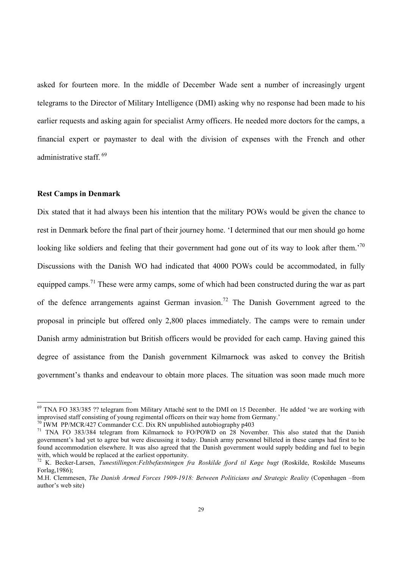asked for fourteen more. In the middle of December Wade sent a number of increasingly urgent telegrams to the Director of Military Intelligence (DMI) asking why no response had been made to his earlier requests and asking again for specialist Army officers. He needed more doctors for the camps, a financial expert or paymaster to deal with the division of expenses with the French and other administrative staff.<sup>69</sup>

#### **Rest Camps in Denmark**

 $\overline{a}$ 

Dix stated that it had always been his intention that the military POWs would be given the chance to rest in Denmark before the final part of their journey home. 'I determined that our men should go home looking like soldiers and feeling that their government had gone out of its way to look after them.<sup>70</sup> Discussions with the Danish WO had indicated that 4000 POWs could be accommodated, in fully equipped camps.<sup>71</sup> These were army camps, some of which had been constructed during the war as part of the defence arrangements against German invasion.<sup>72</sup> The Danish Government agreed to the proposal in principle but offered only 2,800 places immediately. The camps were to remain under Danish army administration but British officers would be provided for each camp. Having gained this degree of assistance from the Danish government Kilmarnock was asked to convey the British government's thanks and endeavour to obtain more places. The situation was soon made much more

<sup>69</sup> TNA FO 383/385 ?? telegram from Military Attaché sent to the DMI on 15 December. He added 'we are working with improvised staff consisting of young regimental officers on their way home from Germany.'

 $70$  IWM PP/MCR/427 Commander C.C. Dix RN unpublished autobiography p403

<sup>&</sup>lt;sup>71</sup> TNA FO 383/384 telegram from Kilmarnock to FO/POWD on 28 November. This also stated that the Danish government's had yet to agree but were discussing it today. Danish army personnel billeted in these camps had first to be found accommodation elsewhere. It was also agreed that the Danish government would supply bedding and fuel to begin with, which would be replaced at the earliest opportunity.

<sup>72</sup> K. Becker-Larsen, *Tunestillingen:Feltbefæstningen fra Roskilde fjord til Køge bugt* (Roskilde, Roskilde Museums Forlag,1986);

M.H. Clemmesen, *The Danish Armed Forces 1909-1918: Between Politicians and Strategic Reality* (Copenhagen –from author's web site)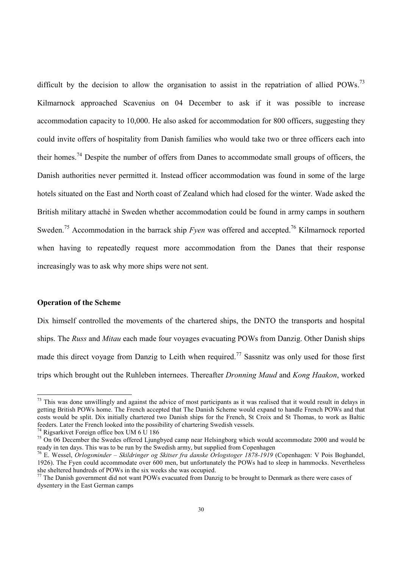difficult by the decision to allow the organisation to assist in the repatriation of allied POWs.<sup>73</sup> Kilmarnock approached Scavenius on 04 December to ask if it was possible to increase accommodation capacity to 10,000. He also asked for accommodation for 800 officers, suggesting they could invite offers of hospitality from Danish families who would take two or three officers each into their homes.<sup>74</sup> Despite the number of offers from Danes to accommodate small groups of officers, the Danish authorities never permitted it. Instead officer accommodation was found in some of the large hotels situated on the East and North coast of Zealand which had closed for the winter. Wade asked the British military attaché in Sweden whether accommodation could be found in army camps in southern Sweden.<sup>75</sup> Accommodation in the barrack ship *Fyen* was offered and accepted.<sup>76</sup> Kilmarnock reported when having to repeatedly request more accommodation from the Danes that their response increasingly was to ask why more ships were not sent.

#### **Operation of the Scheme**

 $\overline{a}$ 

Dix himself controlled the movements of the chartered ships, the DNTO the transports and hospital ships. The *Russ* and *Mitau* each made four voyages evacuating POWs from Danzig. Other Danish ships made this direct voyage from Danzig to Leith when required.<sup>77</sup> Sassnitz was only used for those first trips which brought out the Ruhleben internees. Thereafter *Dronning Maud* and *Kong Haakon*, worked

 $73$  This was done unwillingly and against the advice of most participants as it was realised that it would result in delays in getting British POWs home. The French accepted that The Danish Scheme would expand to handle French POWs and that costs would be split. Dix initially chartered two Danish ships for the French, St Croix and St Thomas, to work as Baltic feeders. Later the French looked into the possibility of chartering Swedish vessels.

<sup>&</sup>lt;sup>74</sup> Rigsarkivet Foreign office box UM 6  $\overline{U}$  186

<sup>&</sup>lt;sup>75</sup> On 06 December the Swedes offered Ljungbyed camp near Helsingborg which would accommodate 2000 and would be ready in ten days. This was to be run by the Swedish army, but supplied from Copenhagen

<sup>76</sup> E. Wessel, *Orlogsminder – Skildringer og Skitser fra danske Orlogstoger 1878-1919* (Copenhagen: V Pois Boghandel, 1926). The Fyen could accommodate over 600 men, but unfortunately the POWs had to sleep in hammocks. Nevertheless she sheltered hundreds of POWs in the six weeks she was occupied.

 $\frac{77}{77}$  The Danish government did not want POWs evacuated from Danzig to be brought to Denmark as there were cases of dysentery in the East German camps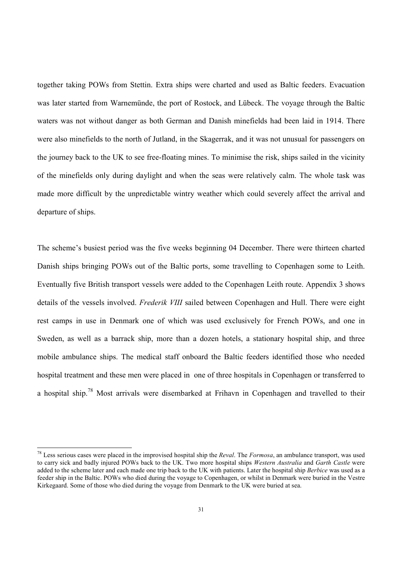together taking POWs from Stettin. Extra ships were charted and used as Baltic feeders. Evacuation was later started from Warnemünde, the port of Rostock, and Lübeck. The voyage through the Baltic waters was not without danger as both German and Danish minefields had been laid in 1914. There were also minefields to the north of Jutland, in the Skagerrak, and it was not unusual for passengers on the journey back to the UK to see free-floating mines. To minimise the risk, ships sailed in the vicinity of the minefields only during daylight and when the seas were relatively calm. The whole task was made more difficult by the unpredictable wintry weather which could severely affect the arrival and departure of ships.

The scheme's busiest period was the five weeks beginning 04 December. There were thirteen charted Danish ships bringing POWs out of the Baltic ports, some travelling to Copenhagen some to Leith. Eventually five British transport vessels were added to the Copenhagen Leith route. Appendix 3 shows details of the vessels involved. *Frederik VIII* sailed between Copenhagen and Hull. There were eight rest camps in use in Denmark one of which was used exclusively for French POWs, and one in Sweden, as well as a barrack ship, more than a dozen hotels, a stationary hospital ship, and three mobile ambulance ships. The medical staff onboard the Baltic feeders identified those who needed hospital treatment and these men were placed in one of three hospitals in Copenhagen or transferred to a hospital ship.<sup>78</sup> Most arrivals were disembarked at Frihavn in Copenhagen and travelled to their

<sup>78</sup> Less serious cases were placed in the improvised hospital ship the *Reval*. The *Formosa*, an ambulance transport, was used to carry sick and badly injured POWs back to the UK. Two more hospital ships *Western Australia* and *Garth Castle* were added to the scheme later and each made one trip back to the UK with patients. Later the hospital ship *Berbice* was used as a feeder ship in the Baltic. POWs who died during the voyage to Copenhagen, or whilst in Denmark were buried in the Vestre Kirkegaard. Some of those who died during the voyage from Denmark to the UK were buried at sea.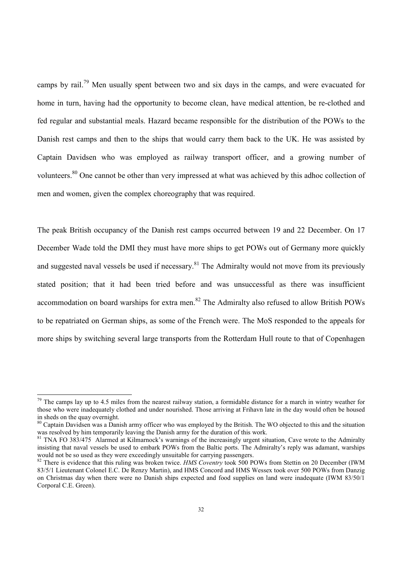camps by rail.<sup>79</sup> Men usually spent between two and six days in the camps, and were evacuated for home in turn, having had the opportunity to become clean, have medical attention, be re-clothed and fed regular and substantial meals. Hazard became responsible for the distribution of the POWs to the Danish rest camps and then to the ships that would carry them back to the UK. He was assisted by Captain Davidsen who was employed as railway transport officer, and a growing number of volunteers.<sup>80</sup> One cannot be other than very impressed at what was achieved by this adhoc collection of men and women, given the complex choreography that was required.

The peak British occupancy of the Danish rest camps occurred between 19 and 22 December. On 17 December Wade told the DMI they must have more ships to get POWs out of Germany more quickly and suggested naval vessels be used if necessary.<sup>81</sup> The Admiralty would not move from its previously stated position; that it had been tried before and was unsuccessful as there was insufficient accommodation on board warships for extra men.<sup>82</sup> The Admiralty also refused to allow British POWs to be repatriated on German ships, as some of the French were. The MoS responded to the appeals for more ships by switching several large transports from the Rotterdam Hull route to that of Copenhagen

 $79$  The camps lay up to 4.5 miles from the nearest railway station, a formidable distance for a march in wintry weather for those who were inadequately clothed and under nourished. Those arriving at Frihavn late in the day would often be housed in sheds on the quay overnight.

<sup>&</sup>lt;sup>80</sup> Captain Davidsen was a Danish army officer who was employed by the British. The WO objected to this and the situation was resolved by him temporarily leaving the Danish army for the duration of this work.

<sup>&</sup>lt;sup>81</sup> TNA FO 383/475 Alarmed at Kilmarnock's warnings of the increasingly urgent situation, Cave wrote to the Admiralty insisting that naval vessels be used to embark POWs from the Baltic ports. The Admiralty's reply was adamant, warships would not be so used as they were exceedingly unsuitable for carrying passengers.

<sup>&</sup>lt;sup>82</sup> There is evidence that this ruling was broken twice. *HMS Coventry* took 500 POWs from Stettin on 20 December (IWM 83/5/1 Lieutenant Colonel E.C. De Renzy Martin), and HMS Concord and HMS Wessex took over 500 POWs from Danzig on Christmas day when there were no Danish ships expected and food supplies on land were inadequate (IWM 83/50/1 Corporal C.E. Green).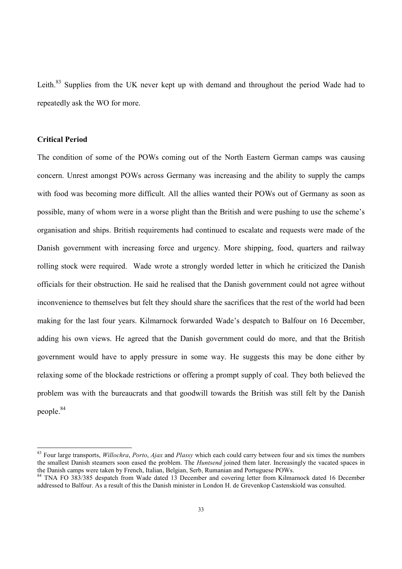Leith.<sup>83</sup> Supplies from the UK never kept up with demand and throughout the period Wade had to repeatedly ask the WO for more.

#### **Critical Period**

 $\overline{a}$ 

The condition of some of the POWs coming out of the North Eastern German camps was causing concern. Unrest amongst POWs across Germany was increasing and the ability to supply the camps with food was becoming more difficult. All the allies wanted their POWs out of Germany as soon as possible, many of whom were in a worse plight than the British and were pushing to use the scheme's organisation and ships. British requirements had continued to escalate and requests were made of the Danish government with increasing force and urgency. More shipping, food, quarters and railway rolling stock were required. Wade wrote a strongly worded letter in which he criticized the Danish officials for their obstruction. He said he realised that the Danish government could not agree without inconvenience to themselves but felt they should share the sacrifices that the rest of the world had been making for the last four years. Kilmarnock forwarded Wade's despatch to Balfour on 16 December, adding his own views. He agreed that the Danish government could do more, and that the British government would have to apply pressure in some way. He suggests this may be done either by relaxing some of the blockade restrictions or offering a prompt supply of coal. They both believed the problem was with the bureaucrats and that goodwill towards the British was still felt by the Danish people.<sup>84</sup>

<sup>83</sup> Four large transports, *Willochra*, *Porto*, *Ajax* and *Plassy* which each could carry between four and six times the numbers the smallest Danish steamers soon eased the problem. The *Huntsend* joined them later. Increasingly the vacated spaces in the Danish camps were taken by French, Italian, Belgian, Serb, Rumanian and Portuguese POWs.

<sup>&</sup>lt;sup>84</sup> TNA FO 383/385 despatch from Wade dated 13 December and covering letter from Kilmarnock dated 16 December addressed to Balfour. As a result of this the Danish minister in London H. de Grevenkop Castenskiold was consulted.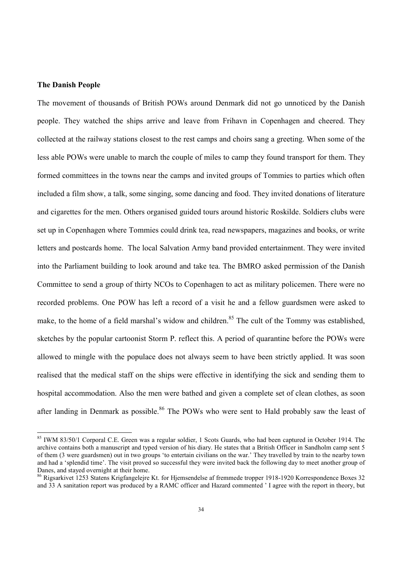#### **The Danish People**

 $\overline{a}$ 

The movement of thousands of British POWs around Denmark did not go unnoticed by the Danish people. They watched the ships arrive and leave from Frihavn in Copenhagen and cheered. They collected at the railway stations closest to the rest camps and choirs sang a greeting. When some of the less able POWs were unable to march the couple of miles to camp they found transport for them. They formed committees in the towns near the camps and invited groups of Tommies to parties which often included a film show, a talk, some singing, some dancing and food. They invited donations of literature and cigarettes for the men. Others organised guided tours around historic Roskilde. Soldiers clubs were set up in Copenhagen where Tommies could drink tea, read newspapers, magazines and books, or write letters and postcards home. The local Salvation Army band provided entertainment. They were invited into the Parliament building to look around and take tea. The BMRO asked permission of the Danish Committee to send a group of thirty NCOs to Copenhagen to act as military policemen. There were no recorded problems. One POW has left a record of a visit he and a fellow guardsmen were asked to make, to the home of a field marshal's widow and children.<sup>85</sup> The cult of the Tommy was established, sketches by the popular cartoonist Storm P. reflect this. A period of quarantine before the POWs were allowed to mingle with the populace does not always seem to have been strictly applied. It was soon realised that the medical staff on the ships were effective in identifying the sick and sending them to hospital accommodation. Also the men were bathed and given a complete set of clean clothes, as soon after landing in Denmark as possible.<sup>86</sup> The POWs who were sent to Hald probably saw the least of

<sup>&</sup>lt;sup>85</sup> IWM 83/50/1 Corporal C.E. Green was a regular soldier, 1 Scots Guards, who had been captured in October 1914. The archive contains both a manuscript and typed version of his diary. He states that a British Officer in Sandholm camp sent 5 of them (3 were guardsmen) out in two groups 'to entertain civilians on the war.' They travelled by train to the nearby town and had a 'splendid time'. The visit proved so successful they were invited back the following day to meet another group of Danes, and stayed overnight at their home.

<sup>86</sup> Rigsarkivet 1253 Statens Krigfangelejre Kt. for Hjemsendelse af fremmede tropper 1918-1920 Korrespondence Boxes 32 and 33 A sanitation report was produced by a RAMC officer and Hazard commented ' I agree with the report in theory, but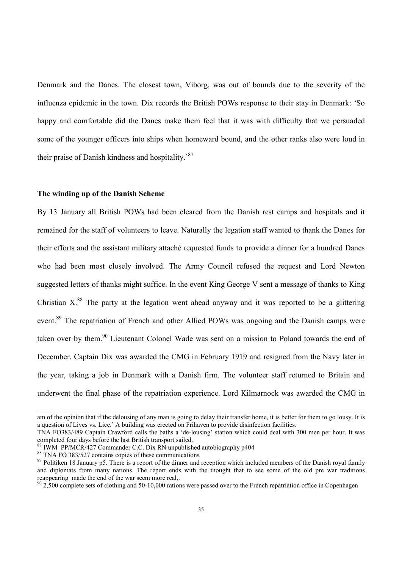Denmark and the Danes. The closest town, Viborg, was out of bounds due to the severity of the influenza epidemic in the town. Dix records the British POWs response to their stay in Denmark: 'So happy and comfortable did the Danes make them feel that it was with difficulty that we persuaded some of the younger officers into ships when homeward bound, and the other ranks also were loud in their praise of Danish kindness and hospitality.<sup>87</sup>

#### **The winding up of the Danish Scheme**

By 13 January all British POWs had been cleared from the Danish rest camps and hospitals and it remained for the staff of volunteers to leave. Naturally the legation staff wanted to thank the Danes for their efforts and the assistant military attaché requested funds to provide a dinner for a hundred Danes who had been most closely involved. The Army Council refused the request and Lord Newton suggested letters of thanks might suffice. In the event King George V sent a message of thanks to King Christian  $X^{88}$ . The party at the legation went ahead anyway and it was reported to be a glittering event.<sup>89</sup> The repatriation of French and other Allied POWs was ongoing and the Danish camps were taken over by them.<sup>90</sup> Lieutenant Colonel Wade was sent on a mission to Poland towards the end of December. Captain Dix was awarded the CMG in February 1919 and resigned from the Navy later in the year, taking a job in Denmark with a Danish firm. The volunteer staff returned to Britain and underwent the final phase of the repatriation experience. Lord Kilmarnock was awarded the CMG in

am of the opinion that if the delousing of any man is going to delay their transfer home, it is better for them to go lousy. It is a question of Lives vs. Lice.' A building was erected on Frihaven to provide disinfection facilities.

TNA FO383/489 Captain Crawford calls the baths a 'de-lousing' station which could deal with 300 men per hour. It was completed four days before the last British transport sailed.

IWM PP/MCR/427 Commander C.C. Dix RN unpublished autobiography p404

<sup>88</sup> TNA FO 383/527 contains copies of these communications

<sup>&</sup>lt;sup>89</sup> Politiken 18 January p5. There is a report of the dinner and reception which included members of the Danish royal family and diplomats from many nations. The report ends with the thought that to see some of the old pre war traditions reappearing made the end of the war seem more real..

 $\frac{90}{2}$ ,500 complete sets of clothing and 50-10,000 rations were passed over to the French repatriation office in Copenhagen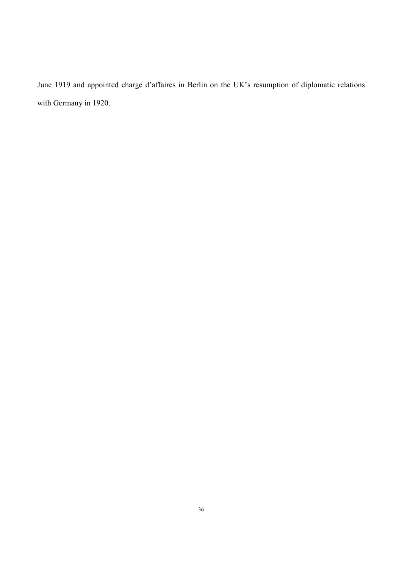June 1919 and appointed charge d'affaires in Berlin on the UK's resumption of diplomatic relations with Germany in 1920.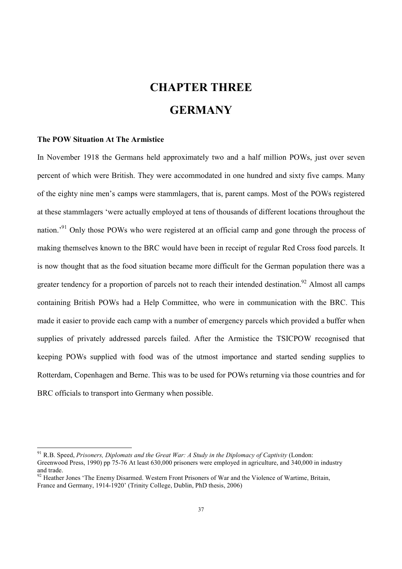# **CHAPTER THREE GERMANY**

#### **The POW Situation At The Armistice**

 $\overline{a}$ 

In November 1918 the Germans held approximately two and a half million POWs, just over seven percent of which were British. They were accommodated in one hundred and sixty five camps. Many of the eighty nine men's camps were stammlagers, that is, parent camps. Most of the POWs registered at these stammlagers 'were actually employed at tens of thousands of different locations throughout the nation.<sup>91</sup> Only those POWs who were registered at an official camp and gone through the process of making themselves known to the BRC would have been in receipt of regular Red Cross food parcels. It is now thought that as the food situation became more difficult for the German population there was a greater tendency for a proportion of parcels not to reach their intended destination.<sup>92</sup> Almost all camps containing British POWs had a Help Committee, who were in communication with the BRC. This made it easier to provide each camp with a number of emergency parcels which provided a buffer when supplies of privately addressed parcels failed. After the Armistice the TSICPOW recognised that keeping POWs supplied with food was of the utmost importance and started sending supplies to Rotterdam, Copenhagen and Berne. This was to be used for POWs returning via those countries and for BRC officials to transport into Germany when possible.

<sup>91</sup> R.B. Speed, *Prisoners, Diplomats and the Great War: A Study in the Diplomacy of Captivity* (London: Greenwood Press, 1990) pp 75-76 At least 630,000 prisoners were employed in agriculture, and 340,000 in industry and trade.

 $92$  Heather Jones 'The Enemy Disarmed. Western Front Prisoners of War and the Violence of Wartime, Britain, France and Germany, 1914-1920' (Trinity College, Dublin, PhD thesis, 2006)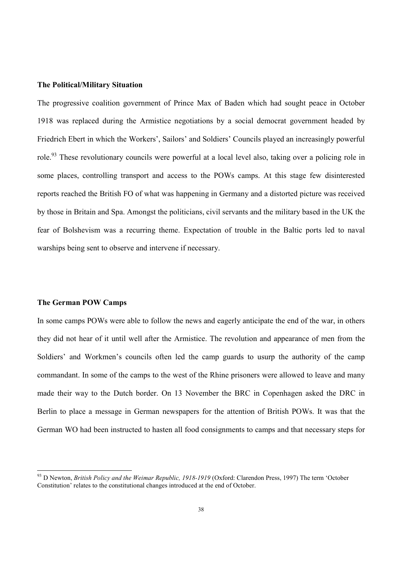#### **The Political/Military Situation**

The progressive coalition government of Prince Max of Baden which had sought peace in October 1918 was replaced during the Armistice negotiations by a social democrat government headed by Friedrich Ebert in which the Workers', Sailors' and Soldiers' Councils played an increasingly powerful role.<sup>93</sup> These revolutionary councils were powerful at a local level also, taking over a policing role in some places, controlling transport and access to the POWs camps. At this stage few disinterested reports reached the British FO of what was happening in Germany and a distorted picture was received by those in Britain and Spa. Amongst the politicians, civil servants and the military based in the UK the fear of Bolshevism was a recurring theme. Expectation of trouble in the Baltic ports led to naval warships being sent to observe and intervene if necessary.

#### **The German POW Camps**

 $\overline{a}$ 

In some camps POWs were able to follow the news and eagerly anticipate the end of the war, in others they did not hear of it until well after the Armistice. The revolution and appearance of men from the Soldiers' and Workmen's councils often led the camp guards to usurp the authority of the camp commandant. In some of the camps to the west of the Rhine prisoners were allowed to leave and many made their way to the Dutch border. On 13 November the BRC in Copenhagen asked the DRC in Berlin to place a message in German newspapers for the attention of British POWs. It was that the German WO had been instructed to hasten all food consignments to camps and that necessary steps for

<sup>93</sup> D Newton, *British Policy and the Weimar Republic, 1918-1919* (Oxford: Clarendon Press, 1997) The term 'October Constitution' relates to the constitutional changes introduced at the end of October.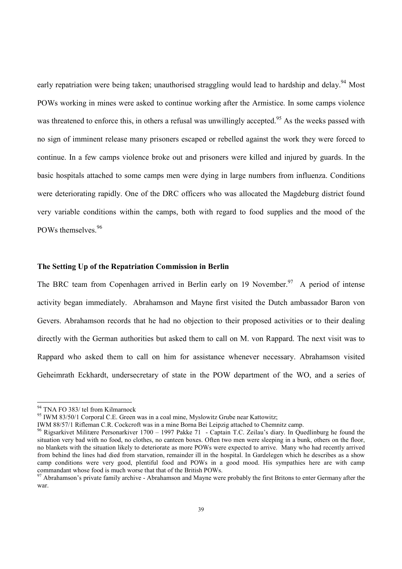early repatriation were being taken; unauthorised straggling would lead to hardship and delay.<sup>94</sup> Most POWs working in mines were asked to continue working after the Armistice. In some camps violence was threatened to enforce this, in others a refusal was unwillingly accepted.<sup>95</sup> As the weeks passed with no sign of imminent release many prisoners escaped or rebelled against the work they were forced to continue. In a few camps violence broke out and prisoners were killed and injured by guards. In the basic hospitals attached to some camps men were dying in large numbers from influenza. Conditions were deteriorating rapidly. One of the DRC officers who was allocated the Magdeburg district found very variable conditions within the camps, both with regard to food supplies and the mood of the POWs themselves.<sup>96</sup>

#### **The Setting Up of the Repatriation Commission in Berlin**

The BRC team from Copenhagen arrived in Berlin early on 19 November.<sup>97</sup> A period of intense activity began immediately. Abrahamson and Mayne first visited the Dutch ambassador Baron von Gevers. Abrahamson records that he had no objection to their proposed activities or to their dealing directly with the German authorities but asked them to call on M. von Rappard. The next visit was to Rappard who asked them to call on him for assistance whenever necessary. Abrahamson visited Geheimrath Eckhardt, undersecretary of state in the POW department of the WO, and a series of

<sup>&</sup>lt;sup>94</sup> TNA FO 383/ tel from Kilmarnock

<sup>&</sup>lt;sup>95</sup> IWM 83/50/1 Corporal C.E. Green was in a coal mine, Myslowitz Grube near Kattowitz;

IWM 88/57/1 Rifleman C.R. Cockcroft was in a mine Borna Bei Leipzig attached to Chemnitz camp.

<sup>&</sup>lt;sup>96</sup> Rigsarkivet Militære Personarkiver 1700 – 1997 Pakke 71 - Captain T.C. Zeilau's diary. In Quedlinburg he found the situation very bad with no food, no clothes, no canteen boxes. Often two men were sleeping in a bunk, others on the floor, no blankets with the situation likely to deteriorate as more POWs were expected to arrive. Many who had recently arrived from behind the lines had died from starvation, remainder ill in the hospital. In Gardelegen which he describes as a show camp conditions were very good, plentiful food and POWs in a good mood. His sympathies here are with camp commandant whose food is much worse that that of the British POWs.

 $\frac{97}{97}$  Abrahamson's private family archive - Abrahamson and Mayne were probably the first Britons to enter Germany after the war.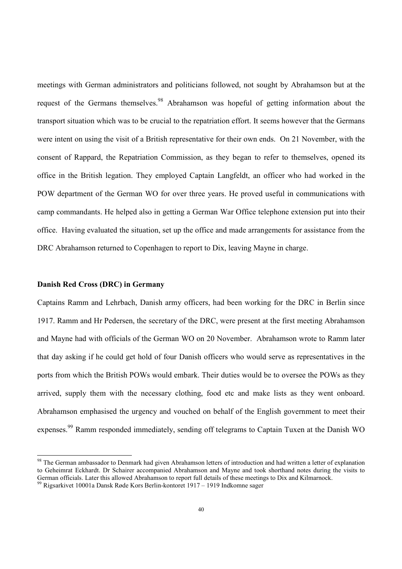meetings with German administrators and politicians followed, not sought by Abrahamson but at the request of the Germans themselves.<sup>98</sup> Abrahamson was hopeful of getting information about the transport situation which was to be crucial to the repatriation effort. It seems however that the Germans were intent on using the visit of a British representative for their own ends. On 21 November, with the consent of Rappard, the Repatriation Commission, as they began to refer to themselves, opened its office in the British legation. They employed Captain Langfeldt, an officer who had worked in the POW department of the German WO for over three years. He proved useful in communications with camp commandants. He helped also in getting a German War Office telephone extension put into their office. Having evaluated the situation, set up the office and made arrangements for assistance from the DRC Abrahamson returned to Copenhagen to report to Dix, leaving Mayne in charge.

#### **Danish Red Cross (DRC) in Germany**

 $\overline{a}$ 

Captains Ramm and Lehrbach, Danish army officers, had been working for the DRC in Berlin since 1917. Ramm and Hr Pedersen, the secretary of the DRC, were present at the first meeting Abrahamson and Mayne had with officials of the German WO on 20 November. Abrahamson wrote to Ramm later that day asking if he could get hold of four Danish officers who would serve as representatives in the ports from which the British POWs would embark. Their duties would be to oversee the POWs as they arrived, supply them with the necessary clothing, food etc and make lists as they went onboard. Abrahamson emphasised the urgency and vouched on behalf of the English government to meet their expenses.<sup>99</sup> Ramm responded immediately, sending off telegrams to Captain Tuxen at the Danish WO

<sup>&</sup>lt;sup>98</sup> The German ambassador to Denmark had given Abrahamson letters of introduction and had written a letter of explanation to Geheimrat Eckhardt. Dr Schairer accompanied Abrahamson and Mayne and took shorthand notes during the visits to German officials. Later this allowed Abrahamson to report full details of these meetings to Dix and Kilmarnock.

<sup>99</sup> Rigsarkivet 10001a Dansk Røde Kors Berlin-kontoret 1917 – 1919 Indkomne sager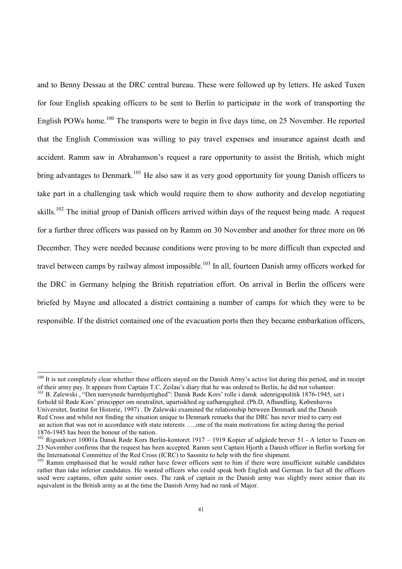and to Benny Dessau at the DRC central bureau. These were followed up by letters. He asked Tuxen for four English speaking officers to be sent to Berlin to participate in the work of transporting the English POWs home.<sup>100</sup> The transports were to begin in five days time, on 25 November. He reported that the English Commission was willing to pay travel expenses and insurance against death and accident. Ramm saw in Abrahamson's request a rare opportunity to assist the British, which might bring advantages to Denmark.<sup>101</sup> He also saw it as very good opportunity for young Danish officers to take part in a challenging task which would require them to show authority and develop negotiating skills.<sup>102</sup> The initial group of Danish officers arrived within days of the request being made. A request for a further three officers was passed on by Ramm on 30 November and another for three more on 06 December. They were needed because conditions were proving to be more difficult than expected and travel between camps by railway almost impossible.<sup>103</sup> In all, fourteen Danish army officers worked for the DRC in Germany helping the British repatriation effort. On arrival in Berlin the officers were briefed by Mayne and allocated a district containing a number of camps for which they were to be responsible. If the district contained one of the evacuation ports then they became embarkation officers,

<sup>&</sup>lt;sup>100</sup> It is not completely clear whether these officers stayed on the Danish Army's active list during this period, and in receipt of their army pay. It appears from Captain T.C. Zeilau's diary that he was ordered to Berlin, he did not volunteer.

<sup>&</sup>lt;sup>101</sup> B. Zalewski, "Den nærsynede barmhjertighed": Dansk Røde Kors' rolle i dansk udenrigspolitik 1876-1945, set i forhold til Røde Kors' principper om neutralitet, upartiskhed og uafhængighed. (Ph.D, Afhandling, Københavns Universitet, Institut for Historie, 1997) . Dr Zalewski examined the relationship between Denmark and the Danish Red Cross and whilst not finding the situation unique to Denmark remarks that the DRC has never tried to carry out an action that was not in accordance with state interests …..one of the main motivations for acting during the period 1876-1945 has been the honour of the nation.

<sup>&</sup>lt;sup>102</sup> Rigsarkivet 10001a Dansk Røde Kors Berlin-kontoret 1917 – 1919 Kopier af udgåede brever 51 - A letter to Tuxen on 23 November confirms that the request has been accepted. Ramm sent Captain Hjorth a Danish officer in Berlin working for the International Committee of the Red Cross (ICRC) to Sassnitz to help with the first shipment.

<sup>&</sup>lt;sup>103</sup> Ramm emphasised that he would rather have fewer officers sent to him if there were insufficient suitable candidates rather than take inferior candidates. He wanted officers who could speak both English and German. In fact all the officers used were captains, often quite senior ones. The rank of captain in the Danish army was slightly more senior than its equivalent in the British army as at the time the Danish Army had no rank of Major.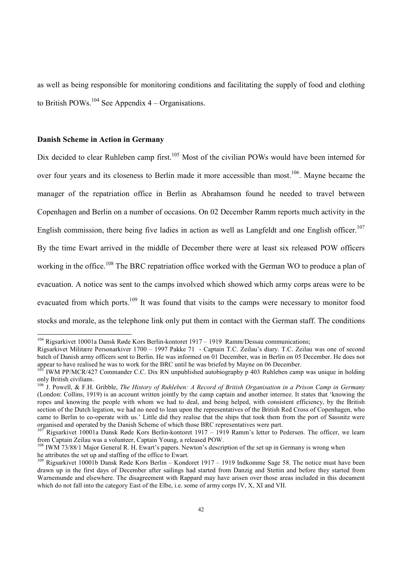as well as being responsible for monitoring conditions and facilitating the supply of food and clothing to British POWs.<sup>104</sup> See Appendix  $4 -$ Organisations.

#### **Danish Scheme in Action in Germany**

l

Dix decided to clear Ruhleben camp first.<sup>105</sup> Most of the civilian POWs would have been interned for over four years and its closeness to Berlin made it more accessible than most.<sup>106</sup>. Mayne became the manager of the repatriation office in Berlin as Abrahamson found he needed to travel between Copenhagen and Berlin on a number of occasions. On 02 December Ramm reports much activity in the English commission, there being five ladies in action as well as Langfeldt and one English officer.<sup>107</sup> By the time Ewart arrived in the middle of December there were at least six released POW officers working in the office.<sup>108</sup> The BRC repatriation office worked with the German WO to produce a plan of evacuation. A notice was sent to the camps involved which showed which army corps areas were to be evacuated from which ports.<sup>109</sup> It was found that visits to the camps were necessary to monitor food stocks and morale, as the telephone link only put them in contact with the German staff. The conditions

<sup>104</sup> Rigsarkivet 10001a Dansk Røde Kors Berlin-kontoret 1917 – 1919 Ramm/Dessau communications;

Rigsarkivet Militære Personarkiver 1700 – 1997 Pakke 71 - Captain T.C. Zeilau's diary. T.C. Zeilau was one of second batch of Danish army officers sent to Berlin. He was informed on 01 December, was in Berlin on 05 December. He does not appear to have realised he was to work for the BRC until he was briefed by Mayne on 06 December.

<sup>105</sup> IWM PP/MCR/427 Commander C.C. Dix RN unpublished autobiography p 403 Ruhleben camp was unique in holding only British civilians.

<sup>106</sup> J. Powell, & F.H. Gribble, *The History of Ruhleben: A Record of British Organisation in a Prison Camp in Germany* (London: Collins, 1919) is an account written jointly by the camp captain and another internee. It states that 'knowing the ropes and knowing the people with whom we had to deal, and being helped, with consistent efficiency, by the British section of the Dutch legation, we had no need to lean upon the representatives of the British Red Cross of Copenhagen, who came to Berlin to co-operate with us.' Little did they realise that the ships that took them from the port of Sassnitz were organised and operated by the Danish Scheme of which those BRC representatives were part.

Rigsarkivet 10001a Dansk Røde Kors Berlin-kontoret 1917 – 1919 Ramm's letter to Pedersen. The officer, we learn from Captain Zeilau was a volunteer, Captain Young, a released POW.

<sup>&</sup>lt;sup>108</sup> IWM 73/88/1 Major General R. H. Ewart's papers. Newton's description of the set up in Germany is wrong when he attributes the set up and staffing of the office to Ewart.

<sup>&</sup>lt;sup>109</sup> Rigsarkivet 10001b Dansk Røde Kors Berlin – Kondoret 1917 – 1919 Indkomme Sage 58. The notice must have been drawn up in the first days of December after sailings had started from Danzig and Stettin and before they started from Warnemunde and elsewhere. The disagreement with Rappard may have arisen over those areas included in this document which do not fall into the category East of the Elbe, i.e. some of army corps IV, X, XI and VII.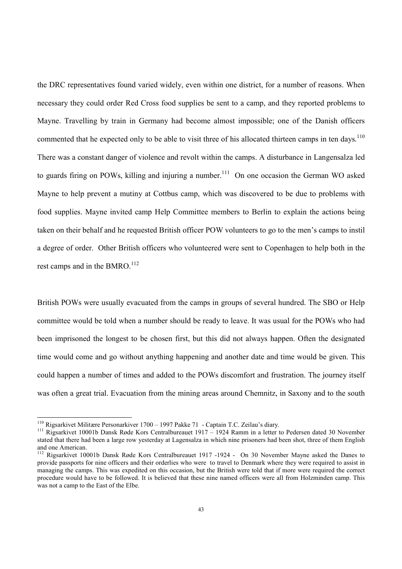the DRC representatives found varied widely, even within one district, for a number of reasons. When necessary they could order Red Cross food supplies be sent to a camp, and they reported problems to Mayne. Travelling by train in Germany had become almost impossible; one of the Danish officers commented that he expected only to be able to visit three of his allocated thirteen camps in ten days.<sup>110</sup> There was a constant danger of violence and revolt within the camps. A disturbance in Langensalza led to guards firing on POWs, killing and injuring a number.<sup>111</sup> On one occasion the German WO asked Mayne to help prevent a mutiny at Cottbus camp, which was discovered to be due to problems with food supplies. Mayne invited camp Help Committee members to Berlin to explain the actions being taken on their behalf and he requested British officer POW volunteers to go to the men's camps to instil a degree of order. Other British officers who volunteered were sent to Copenhagen to help both in the rest camps and in the BMRO.<sup>112</sup>

British POWs were usually evacuated from the camps in groups of several hundred. The SBO or Help committee would be told when a number should be ready to leave. It was usual for the POWs who had been imprisoned the longest to be chosen first, but this did not always happen. Often the designated time would come and go without anything happening and another date and time would be given. This could happen a number of times and added to the POWs discomfort and frustration. The journey itself was often a great trial. Evacuation from the mining areas around Chemnitz, in Saxony and to the south

<sup>110</sup> Rigsarkivet Militære Personarkiver 1700 – 1997 Pakke 71 - Captain T.C. Zeilau's diary.

<sup>&</sup>lt;sup>111</sup> Rigsarkivet 10001b Dansk Røde Kors Centralbureauet 1917 – 1924 Ramm in a letter to Pedersen dated 30 November stated that there had been a large row yesterday at Lagensalza in which nine prisoners had been shot, three of them English and one American.

<sup>&</sup>lt;sup>112</sup> Rigsarkivet 10001b Dansk Røde Kors Centralbureauet 1917 -1924 - On 30 November Mayne asked the Danes to provide passports for nine officers and their orderlies who were to travel to Denmark where they were required to assist in managing the camps. This was expedited on this occasion, but the British were told that if more were required the correct procedure would have to be followed. It is believed that these nine named officers were all from Holzminden camp. This was not a camp to the East of the Elbe.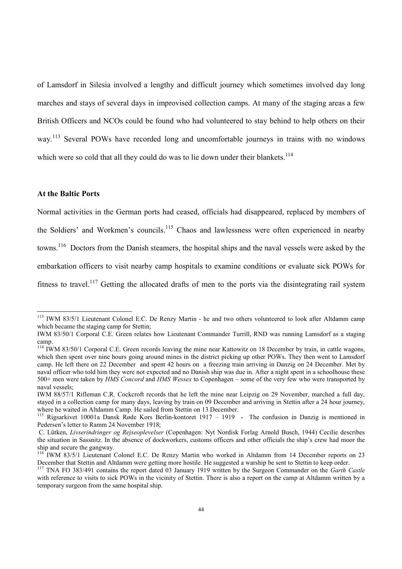of Lamsdorf in Silesia involved a lengthy and difficult journey which sometimes involved day long marches and stays of several days in improvised collection camps. At many of the staging areas a few British Officers and NCOs could be found who had volunteered to stay behind to help others on their way.<sup>113</sup> Several POWs have recorded long and uncomfortable journeys in trains with no windows which were so cold that all they could do was to lie down under their blankets.<sup>114</sup>

#### **At the Baltic Ports**

 $\overline{a}$ 

Normal activities in the German ports had ceased, officials had disappeared, replaced by members of the Soldiers' and Workmen's councils.<sup>115</sup> Chaos and lawlessness were often experienced in nearby towns.<sup>116</sup> Doctors from the Danish steamers, the hospital ships and the naval vessels were asked by the embarkation officers to visit nearby camp hospitals to examine conditions or evaluate sick POWs for fitness to travel.<sup>117</sup> Getting the allocated drafts of men to the ports via the disintegrating rail system

<sup>&</sup>lt;sup>113</sup> IWM 83/5/1 Lieutenant Colonel E.C. De Renzy Martin - he and two others volunteered to look after Altdamm camp which became the staging camp for Stettin;

IWM 83/50/1 Corporal C.E. Green relates how Lieutenant Commander Turrill, RND was running Lamsdorf as a staging camp.

<sup>&</sup>lt;sup>114</sup> IWM 83/50/1 Corporal C.E. Green records leaving the mine near Kattowitz on 18 December by train, in cattle wagons, which then spent over nine hours going around mines in the district picking up other POWs. They then went to Lamsdorf camp. He left there on 22 December and spent 42 hours on a freezing train arriving in Danzig on 24 December. Met by naval officer who told him they were not expected and no Danish ship was due in. After a night spent in a schoolhouse these 500+ men were taken by *HMS Concord* and *HMS Wessex* to Copenhagen – some of the very few who were transported by naval vessels;

IWM 88/57/1 Rifleman C.R. Cockcroft records that he left the mine near Leipzig on 29 November, marched a full day, stayed in a collection camp for many days, leaving by train on 09 December and arriving in Stettin after a 24 hour journey, where he waited in Altdamm Camp. He sailed from Stettin on 13 December.

<sup>&</sup>lt;sup>115</sup> Rigsarkivet 10001a Dansk Røde Kors Berlin-kontoret 1917 – 1919 - The confusion in Danzig is mentioned in Pedersen's letter to Ramm 24 November 1918;

C. Lütken, *Livserindringer og Rejseoplevelser* (Copenhagen: Nyt Nordisk Forlag Arnold Busch, 1944) Cecilie describes the situation in Sassnitz. In the absence of dockworkers, customs officers and other officials the ship's crew had moor the ship and secure the gangway.

<sup>&</sup>lt;sup>116</sup> IWM 83/5/1 Lieutenant Colonel E.C. De Renzy Martin who worked in Altdamm from 14 December reports on 23 December that Stettin and Altdamm were getting more hostile. He suggested a warship be sent to Stettin to keep order.

<sup>117</sup> TNA FO 383/491 contains the report dated 03 January 1919 written by the Surgeon Commander on the *Garth Castle* with reference to visits to sick POWs in the vicinity of Stettin. There is also a report on the camp at Altdamm written by a temporary surgeon from the same hospital ship.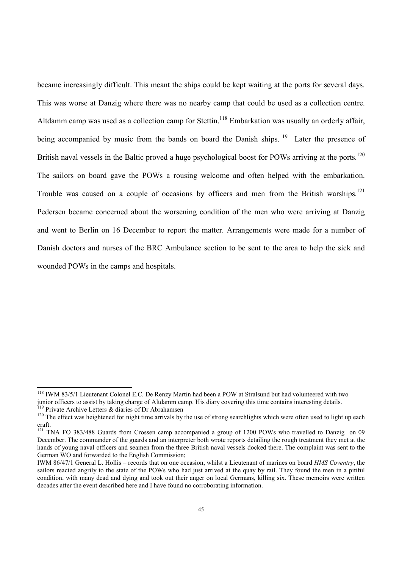became increasingly difficult. This meant the ships could be kept waiting at the ports for several days. This was worse at Danzig where there was no nearby camp that could be used as a collection centre. Altdamm camp was used as a collection camp for Stettin.<sup>118</sup> Embarkation was usually an orderly affair, being accompanied by music from the bands on board the Danish ships.<sup>119</sup> Later the presence of British naval vessels in the Baltic proved a huge psychological boost for POWs arriving at the ports.<sup>120</sup> The sailors on board gave the POWs a rousing welcome and often helped with the embarkation. Trouble was caused on a couple of occasions by officers and men from the British warships.<sup>121</sup> Pedersen became concerned about the worsening condition of the men who were arriving at Danzig and went to Berlin on 16 December to report the matter. Arrangements were made for a number of Danish doctors and nurses of the BRC Ambulance section to be sent to the area to help the sick and wounded POWs in the camps and hospitals.

l

<sup>118</sup> IWM 83/5/1 Lieutenant Colonel E.C. De Renzy Martin had been a POW at Stralsund but had volunteered with two junior officers to assist by taking charge of Altdamm camp. His diary covering this time contains interesting details. Private Archive Letters & diaries of Dr Abrahamsen

 $120$  The effect was heightened for night time arrivals by the use of strong searchlights which were often used to light up each craft.

<sup>&</sup>lt;sup>121</sup> TNA FO 383/488 Guards from Crossen camp accompanied a group of 1200 POWs who travelled to Danzig on 09 December. The commander of the guards and an interpreter both wrote reports detailing the rough treatment they met at the hands of young naval officers and seamen from the three British naval vessels docked there. The complaint was sent to the German WO and forwarded to the English Commission;

IWM 86/47/1 General L. Hollis – records that on one occasion, whilst a Lieutenant of marines on board *HMS Coventry*, the sailors reacted angrily to the state of the POWs who had just arrived at the quay by rail. They found the men in a pitiful condition, with many dead and dying and took out their anger on local Germans, killing six. These memoirs were written decades after the event described here and I have found no corroborating information.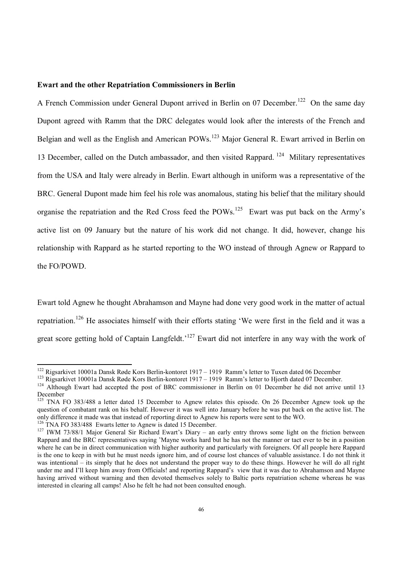#### **Ewart and the other Repatriation Commissioners in Berlin**

A French Commission under General Dupont arrived in Berlin on 07 December.<sup>122</sup> On the same day Dupont agreed with Ramm that the DRC delegates would look after the interests of the French and Belgian and well as the English and American POWs.<sup>123</sup> Major General R. Ewart arrived in Berlin on 13 December, called on the Dutch ambassador, and then visited Rappard.<sup>124</sup> Military representatives from the USA and Italy were already in Berlin. Ewart although in uniform was a representative of the BRC. General Dupont made him feel his role was anomalous, stating his belief that the military should organise the repatriation and the Red Cross feed the POWs.<sup>125</sup> Ewart was put back on the Army's active list on 09 January but the nature of his work did not change. It did, however, change his relationship with Rappard as he started reporting to the WO instead of through Agnew or Rappard to the FO/POWD.

Ewart told Agnew he thought Abrahamson and Mayne had done very good work in the matter of actual repatriation.<sup>126</sup> He associates himself with their efforts stating 'We were first in the field and it was a great score getting hold of Captain Langfeldt.<sup>'127</sup> Ewart did not interfere in any way with the work of

<sup>&</sup>lt;sup>122</sup> Rigsarkivet 10001a Dansk Røde Kors Berlin-kontoret 1917 – 1919 Ramm's letter to Tuxen dated 06 December

<sup>&</sup>lt;sup>123</sup> Rigsarkivet 10001a Dansk Røde Kors Berlin-kontoret 1917 – 1919 Ramm's letter to Hjorth dated 07 December.

<sup>&</sup>lt;sup>124</sup> Although Ewart had accepted the post of BRC commissioner in Berlin on 01 December he did not arrive until 13 December

<sup>&</sup>lt;sup>125</sup> TNA FO 383/488 a letter dated 15 December to Agnew relates this episode. On 26 December Agnew took up the question of combatant rank on his behalf. However it was well into January before he was put back on the active list. The only difference it made was that instead of reporting direct to Agnew his reports were sent to the WO.

<sup>&</sup>lt;sup>126</sup> TNA FO 383/488 Ewarts letter to Agnew is dated 15 December.

<sup>&</sup>lt;sup>127</sup> IWM 73/88/1 Major General Sir Richard Ewart's Diary – an early entry throws some light on the friction between Rappard and the BRC representatives saying 'Mayne works hard but he has not the manner or tact ever to be in a position where he can be in direct communication with higher authority and particularly with foreigners. Of all people here Rappard is the one to keep in with but he must needs ignore him, and of course lost chances of valuable assistance. I do not think it was intentional – its simply that he does not understand the proper way to do these things. However he will do all right under me and I'll keep him away from Officials! and reporting Rappard's view that it was due to Abrahamson and Mayne having arrived without warning and then devoted themselves solely to Baltic ports repatriation scheme whereas he was interested in clearing all camps! Also he felt he had not been consulted enough.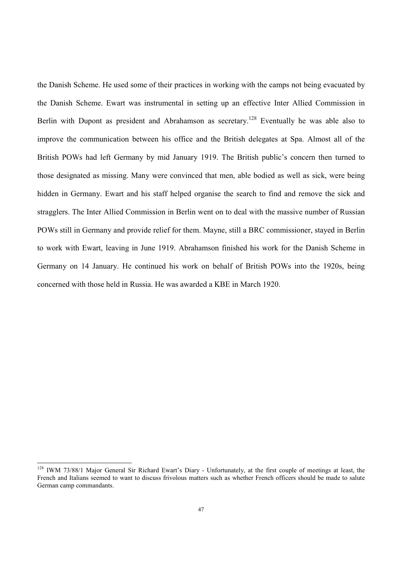the Danish Scheme. He used some of their practices in working with the camps not being evacuated by the Danish Scheme. Ewart was instrumental in setting up an effective Inter Allied Commission in Berlin with Dupont as president and Abrahamson as secretary.<sup>128</sup> Eventually he was able also to improve the communication between his office and the British delegates at Spa. Almost all of the British POWs had left Germany by mid January 1919. The British public's concern then turned to those designated as missing. Many were convinced that men, able bodied as well as sick, were being hidden in Germany. Ewart and his staff helped organise the search to find and remove the sick and stragglers. The Inter Allied Commission in Berlin went on to deal with the massive number of Russian POWs still in Germany and provide relief for them. Mayne, still a BRC commissioner, stayed in Berlin to work with Ewart, leaving in June 1919. Abrahamson finished his work for the Danish Scheme in Germany on 14 January. He continued his work on behalf of British POWs into the 1920s, being concerned with those held in Russia. He was awarded a KBE in March 1920.

<sup>&</sup>lt;sup>128</sup> IWM 73/88/1 Major General Sir Richard Ewart's Diary - Unfortunately, at the first couple of meetings at least, the French and Italians seemed to want to discuss frivolous matters such as whether French officers should be made to salute German camp commandants.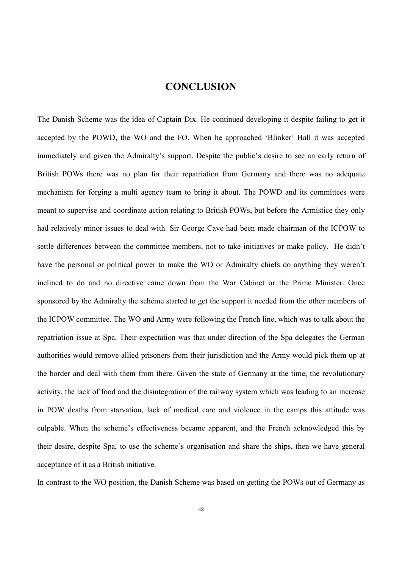#### **CONCLUSION**

The Danish Scheme was the idea of Captain Dix. He continued developing it despite failing to get it accepted by the POWD, the WO and the FO. When he approached 'Blinker' Hall it was accepted immediately and given the Admiralty's support. Despite the public's desire to see an early return of British POWs there was no plan for their repatriation from Germany and there was no adequate mechanism for forging a multi agency team to bring it about. The POWD and its committees were meant to supervise and coordinate action relating to British POWs, but before the Armistice they only had relatively minor issues to deal with. Sir George Cave had been made chairman of the ICPOW to settle differences between the committee members, not to take initiatives or make policy. He didn't have the personal or political power to make the WO or Admiralty chiefs do anything they weren't inclined to do and no directive came down from the War Cabinet or the Prime Minister. Once sponsored by the Admiralty the scheme started to get the support it needed from the other members of the ICPOW committee. The WO and Army were following the French line, which was to talk about the repatriation issue at Spa. Their expectation was that under direction of the Spa delegates the German authorities would remove allied prisoners from their jurisdiction and the Army would pick them up at the border and deal with them from there. Given the state of Germany at the time, the revolutionary activity, the lack of food and the disintegration of the railway system which was leading to an increase in POW deaths from starvation, lack of medical care and violence in the camps this attitude was culpable. When the scheme's effectiveness became apparent, and the French acknowledged this by their desire, despite Spa, to use the scheme's organisation and share the ships, then we have general acceptance of it as a British initiative.

In contrast to the WO position, the Danish Scheme was based on getting the POWs out of Germany as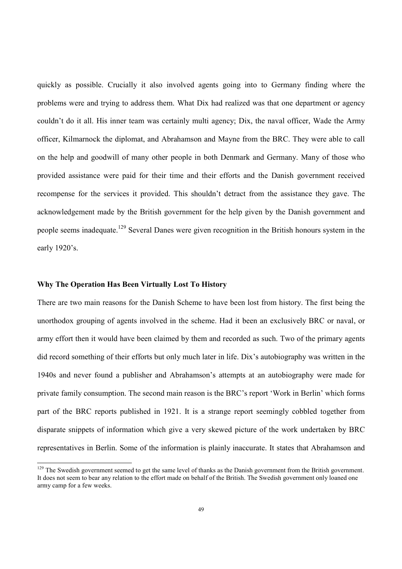quickly as possible. Crucially it also involved agents going into to Germany finding where the problems were and trying to address them. What Dix had realized was that one department or agency couldn't do it all. His inner team was certainly multi agency; Dix, the naval officer, Wade the Army officer, Kilmarnock the diplomat, and Abrahamson and Mayne from the BRC. They were able to call on the help and goodwill of many other people in both Denmark and Germany. Many of those who provided assistance were paid for their time and their efforts and the Danish government received recompense for the services it provided. This shouldn't detract from the assistance they gave. The acknowledgement made by the British government for the help given by the Danish government and people seems inadequate.<sup>129</sup> Several Danes were given recognition in the British honours system in the early 1920's.

#### **Why The Operation Has Been Virtually Lost To History**

 $\overline{a}$ 

There are two main reasons for the Danish Scheme to have been lost from history. The first being the unorthodox grouping of agents involved in the scheme. Had it been an exclusively BRC or naval, or army effort then it would have been claimed by them and recorded as such. Two of the primary agents did record something of their efforts but only much later in life. Dix's autobiography was written in the 1940s and never found a publisher and Abrahamson's attempts at an autobiography were made for private family consumption. The second main reason is the BRC's report 'Work in Berlin' which forms part of the BRC reports published in 1921. It is a strange report seemingly cobbled together from disparate snippets of information which give a very skewed picture of the work undertaken by BRC representatives in Berlin. Some of the information is plainly inaccurate. It states that Abrahamson and

 $129$  The Swedish government seemed to get the same level of thanks as the Danish government from the British government. It does not seem to bear any relation to the effort made on behalf of the British. The Swedish government only loaned one army camp for a few weeks.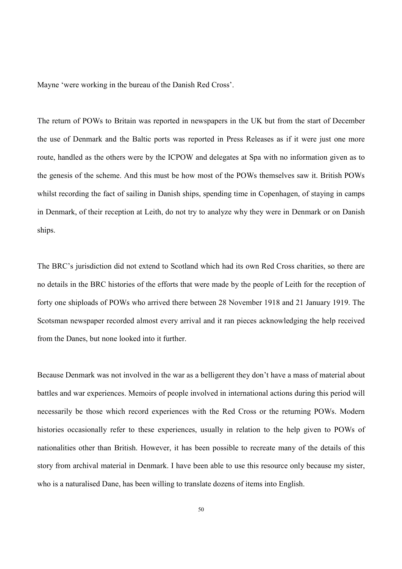Mayne 'were working in the bureau of the Danish Red Cross'.

The return of POWs to Britain was reported in newspapers in the UK but from the start of December the use of Denmark and the Baltic ports was reported in Press Releases as if it were just one more route, handled as the others were by the ICPOW and delegates at Spa with no information given as to the genesis of the scheme. And this must be how most of the POWs themselves saw it. British POWs whilst recording the fact of sailing in Danish ships, spending time in Copenhagen, of staying in camps in Denmark, of their reception at Leith, do not try to analyze why they were in Denmark or on Danish ships.

The BRC's jurisdiction did not extend to Scotland which had its own Red Cross charities, so there are no details in the BRC histories of the efforts that were made by the people of Leith for the reception of forty one shiploads of POWs who arrived there between 28 November 1918 and 21 January 1919. The Scotsman newspaper recorded almost every arrival and it ran pieces acknowledging the help received from the Danes, but none looked into it further.

Because Denmark was not involved in the war as a belligerent they don't have a mass of material about battles and war experiences. Memoirs of people involved in international actions during this period will necessarily be those which record experiences with the Red Cross or the returning POWs. Modern histories occasionally refer to these experiences, usually in relation to the help given to POWs of nationalities other than British. However, it has been possible to recreate many of the details of this story from archival material in Denmark. I have been able to use this resource only because my sister, who is a naturalised Dane, has been willing to translate dozens of items into English.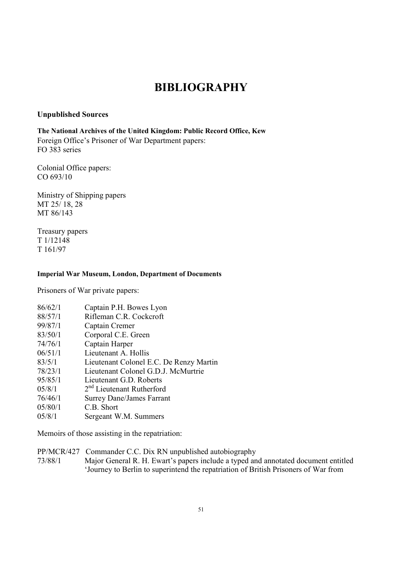# **BIBLIOGRAPHY**

#### **Unpublished Sources**

**The National Archives of the United Kingdom: Public Record Office, Kew**  Foreign Office's Prisoner of War Department papers: FO 383 series

Colonial Office papers: CO 693/10

Ministry of Shipping papers MT 25/ 18, 28 MT 86/143

Treasury papers T 1/12148 T 161/97

#### **Imperial War Museum, London, Department of Documents**

Prisoners of War private papers:

| 86/62/1 | Captain P.H. Bowes Lyon                 |
|---------|-----------------------------------------|
| 88/57/1 | Rifleman C.R. Cockcroft                 |
| 99/87/1 | Captain Cremer                          |
| 83/50/1 | Corporal C.E. Green                     |
| 74/76/1 | Captain Harper                          |
| 06/51/1 | Lieutenant A. Hollis                    |
| 83/5/1  | Lieutenant Colonel E.C. De Renzy Martin |
| 78/23/1 | Lieutenant Colonel G.D.J. McMurtrie     |
| 95/85/1 | Lieutenant G.D. Roberts                 |
| 05/8/1  | 2 <sup>nd</sup> Lieutenant Rutherford   |
| 76/46/1 | <b>Surrey Dane/James Farrant</b>        |
| 05/80/1 | C.B. Short                              |
| 05/8/1  | Sergeant W.M. Summers                   |
|         |                                         |

Memoirs of those assisting in the repatriation:

PP/MCR/427 Commander C.C. Dix RN unpublished autobiography

73/88/1 Major General R. H. Ewart's papers include a typed and annotated document entitled 'Journey to Berlin to superintend the repatriation of British Prisoners of War from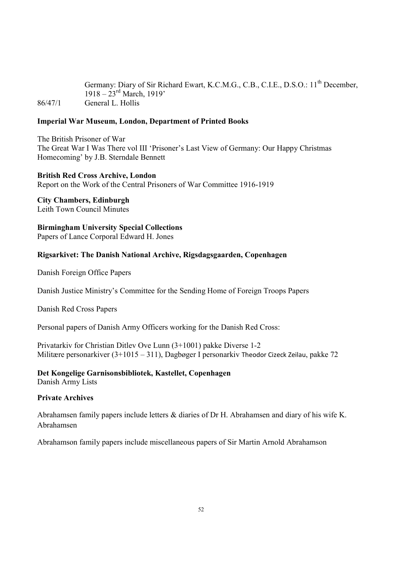Germany: Diary of Sir Richard Ewart, K.C.M.G., C.B., C.I.E., D.S.O.: 11<sup>th</sup> December,  $1918 - 23$ <sup>rd</sup> March, 1919' 86/47/1 General L. Hollis

#### **Imperial War Museum, London, Department of Printed Books**

The British Prisoner of War The Great War I Was There vol III 'Prisoner's Last View of Germany: Our Happy Christmas Homecoming' by J.B. Sterndale Bennett

#### **British Red Cross Archive, London**

Report on the Work of the Central Prisoners of War Committee 1916-1919

**City Chambers, Edinburgh** Leith Town Council Minutes

**Birmingham University Special Collections**  Papers of Lance Corporal Edward H. Jones

#### **Rigsarkivet: The Danish National Archive, Rigsdagsgaarden, Copenhagen**

Danish Foreign Office Papers

Danish Justice Ministry's Committee for the Sending Home of Foreign Troops Papers

Danish Red Cross Papers

Personal papers of Danish Army Officers working for the Danish Red Cross:

Privatarkiv for Christian Ditlev Ove Lunn (3+1001) pakke Diverse 1-2 Militære personarkiver (3+1015 – 311), Dagbøger I personarkiv Theodor Cizeck Zeilau, pakke 72

#### **Det Kongelige Garnisonsbibliotek, Kastellet, Copenhagen**

Danish Army Lists

#### **Private Archives**

Abrahamsen family papers include letters & diaries of Dr H. Abrahamsen and diary of his wife K. Abrahamsen

Abrahamson family papers include miscellaneous papers of Sir Martin Arnold Abrahamson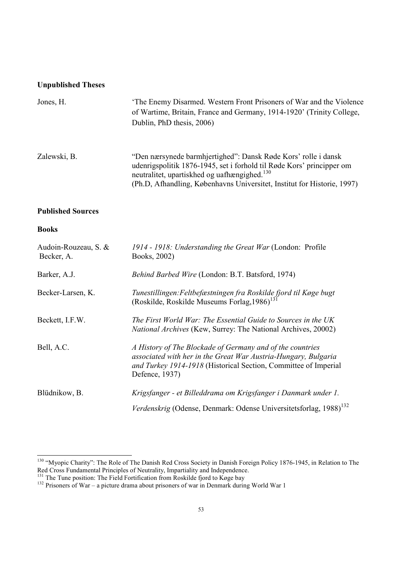#### **Unpublished Theses**

| Jones, H.                          | The Enemy Disarmed. Western Front Prisoners of War and the Violence<br>of Wartime, Britain, France and Germany, 1914-1920' (Trinity College,<br>Dublin, PhD thesis, 2006)                                                                                                                        |
|------------------------------------|--------------------------------------------------------------------------------------------------------------------------------------------------------------------------------------------------------------------------------------------------------------------------------------------------|
| Zalewski, B.                       | "Den nærsynede barmhjertighed": Dansk Røde Kors' rolle i dansk<br>udenrigspolitik 1876-1945, set i forhold til Røde Kors' principper om<br>neutralitet, upartiskhed og uafhængighed. <sup>130</sup><br>(Ph.D, Afhandling, Københavns Universitet, Institut for Historie, 1997)                   |
| <b>Published Sources</b>           |                                                                                                                                                                                                                                                                                                  |
| <b>Books</b>                       |                                                                                                                                                                                                                                                                                                  |
| Audoin-Rouzeau, S. &<br>Becker, A. | 1914 - 1918: Understanding the Great War (London: Profile<br>Books, 2002)                                                                                                                                                                                                                        |
| Barker, A.J.                       | Behind Barbed Wire (London: B.T. Batsford, 1974)                                                                                                                                                                                                                                                 |
|                                    | $\mathbf{F}$ and $\mathbf{F}$ and $\mathbf{F}$ and $\mathbf{F}$ and $\mathbf{F}$ and $\mathbf{F}$ and $\mathbf{F}$ and $\mathbf{F}$ and $\mathbf{F}$ and $\mathbf{F}$ and $\mathbf{F}$ and $\mathbf{F}$ and $\mathbf{F}$ and $\mathbf{F}$ and $\mathbf{F}$ and $\mathbf{F}$ and $\mathbf{F}$ and |

| Audoin-Rouzeau, S. &<br>Becker, A. | 1914 - 1918: Understanding the Great War (London: Profile<br>Books, 2002)                                                                                                                                        |
|------------------------------------|------------------------------------------------------------------------------------------------------------------------------------------------------------------------------------------------------------------|
| Barker, A.J.                       | Behind Barbed Wire (London: B.T. Batsford, 1974)                                                                                                                                                                 |
| Becker-Larsen, K.                  | Tunestillingen: Feltbefæstningen fra Roskilde fjord til Køge bugt<br>(Roskilde, Roskilde Museums Forlag, 1986) <sup>131</sup>                                                                                    |
| Beckett, I.F.W.                    | The First World War: The Essential Guide to Sources in the UK<br><i>National Archives</i> (Kew, Surrey: The National Archives, 20002)                                                                            |
| Bell, A.C.                         | A History of The Blockade of Germany and of the countries<br>associated with her in the Great War Austria-Hungary, Bulgaria<br>and Turkey 1914-1918 (Historical Section, Committee of Imperial<br>Defence, 1937) |
| Blüdnikow, B.                      | Krigsfanger - et Billeddrama om Krigsfanger i Danmark under 1.                                                                                                                                                   |
|                                    | Verdenskrig (Odense, Denmark: Odense Universitetsforlag, 1988) <sup>132</sup>                                                                                                                                    |

<sup>&</sup>lt;sup>130</sup> "Myopic Charity": The Role of The Danish Red Cross Society in Danish Foreign Policy 1876-1945, in Relation to The Red Cross Fundamental Principles of Neutrality, Impartiality and Independence.

<sup>&</sup>lt;sup>131</sup> The Tune position: The Field Fortification from Roskilde fjord to Køge bay

<sup>&</sup>lt;sup>132</sup> Prisoners of War – a picture drama about prisoners of war in Denmark during World War 1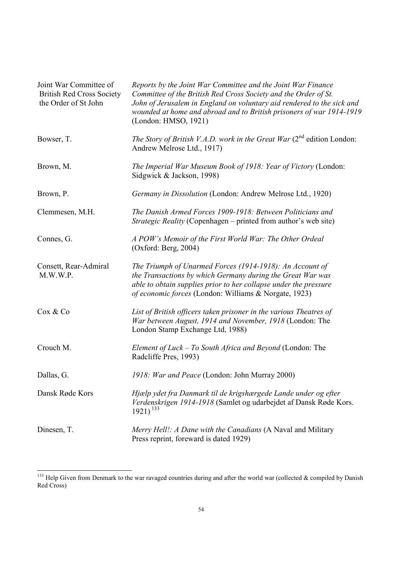| Joint War Committee of<br><b>British Red Cross Society</b><br>the Order of St John | Reports by the Joint War Committee and the Joint War Finance<br>Committee of the British Red Cross Society and the Order of St.<br>John of Jerusalem in England on voluntary aid rendered to the sick and<br>wounded at home and abroad and to British prisoners of war 1914-1919<br>(London: HMSO, 1921) |  |
|------------------------------------------------------------------------------------|-----------------------------------------------------------------------------------------------------------------------------------------------------------------------------------------------------------------------------------------------------------------------------------------------------------|--|
| Bowser, T.                                                                         | The Story of British V.A.D. work in the Great War $(2^{nd}$ edition London:<br>Andrew Melrose Ltd., 1917)                                                                                                                                                                                                 |  |
| Brown, M.                                                                          | The Imperial War Museum Book of 1918: Year of Victory (London:<br>Sidgwick & Jackson, 1998)                                                                                                                                                                                                               |  |
| Brown, P.                                                                          | Germany in Dissolution (London: Andrew Melrose Ltd., 1920)                                                                                                                                                                                                                                                |  |
| Clemmesen, M.H.                                                                    | The Danish Armed Forces 1909-1918: Between Politicians and<br>Strategic Reality (Copenhagen - printed from author's web site)                                                                                                                                                                             |  |
| Connes, G.                                                                         | A POW's Memoir of the First World War: The Other Ordeal<br>(Oxford: Berg, 2004)                                                                                                                                                                                                                           |  |
| Consett, Rear-Admiral<br>M.W.W.P.                                                  | The Triumph of Unarmed Forces (1914-1918): An Account of<br>the Transactions by which Germany during the Great War was<br>able to obtain supplies prior to her collapse under the pressure<br>of economic forces (London: Williams & Norgate, 1923)                                                       |  |
| Cox & Co                                                                           | List of British officers taken prisoner in the various Theatres of<br>War between August, 1914 and November, 1918 (London: The<br>London Stamp Exchange Ltd, 1988)                                                                                                                                        |  |
| Crouch M.                                                                          | Element of Luck – To South Africa and Beyond (London: The<br>Radcliffe Pres, 1993)                                                                                                                                                                                                                        |  |
| Dallas, G.                                                                         | 1918: War and Peace (London: John Murray 2000)                                                                                                                                                                                                                                                            |  |
| Dansk Røde Kors                                                                    | Hjælp ydet fra Danmark til de krigshærgede Lande under og efter<br>Verdenskrigen 1914-1918 (Samlet og udarbejdet af Dansk Røde Kors.<br>$1921)^{133}$                                                                                                                                                     |  |
| Dinesen, T.                                                                        | Merry Hell!: A Dane with the Canadians (A Naval and Military<br>Press reprint, foreward is dated 1929)                                                                                                                                                                                                    |  |

<sup>&</sup>lt;sup>133</sup> Help Given from Denmark to the war ravaged countries during and after the world war (collected  $\&$  compiled by Danish Red Cross)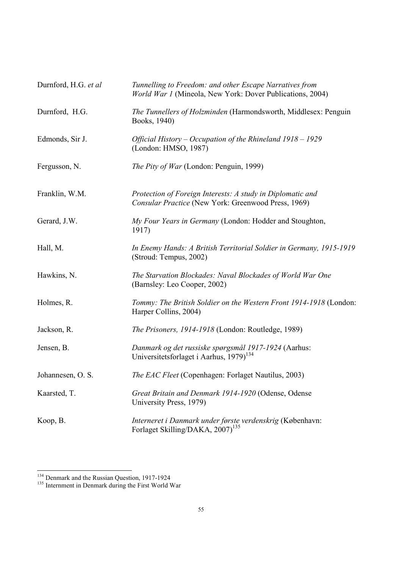| Durnford, H.G. et al | Tunnelling to Freedom: and other Escape Narratives from<br>World War 1 (Mineola, New York: Dover Publications, 2004) |  |
|----------------------|----------------------------------------------------------------------------------------------------------------------|--|
| Durnford, H.G.       | The Tunnellers of Holzminden (Harmondsworth, Middlesex: Penguin<br>Books, 1940)                                      |  |
| Edmonds, Sir J.      | Official History - Occupation of the Rhineland 1918 - 1929<br>(London: HMSO, 1987)                                   |  |
| Fergusson, N.        | The Pity of War (London: Penguin, 1999)                                                                              |  |
| Franklin, W.M.       | Protection of Foreign Interests: A study in Diplomatic and<br>Consular Practice (New York: Greenwood Press, 1969)    |  |
| Gerard, J.W.         | My Four Years in Germany (London: Hodder and Stoughton,<br>1917)                                                     |  |
| Hall, M.             | In Enemy Hands: A British Territorial Soldier in Germany, 1915-1919<br>(Stroud: Tempus, 2002)                        |  |
| Hawkins, N.          | The Starvation Blockades: Naval Blockades of World War One<br>(Barnsley: Leo Cooper, 2002)                           |  |
| Holmes, R.           | Tommy: The British Soldier on the Western Front 1914-1918 (London:<br>Harper Collins, 2004)                          |  |
| Jackson, R.          | The Prisoners, 1914-1918 (London: Routledge, 1989)                                                                   |  |
| Jensen, B.           | Danmark og det russiske spørgsmål 1917-1924 (Aarhus:<br>Universitetsforlaget i Aarhus, 1979) <sup>134</sup>          |  |
| Johannesen, O. S.    | The EAC Fleet (Copenhagen: Forlaget Nautilus, 2003)                                                                  |  |
| Kaarsted, T.         | Great Britain and Denmark 1914-1920 (Odense, Odense<br>University Press, 1979)                                       |  |
| Koop, B.             | Interneret i Danmark under første verdenskrig (København:<br>Forlaget Skilling/DAKA, 2007) <sup>135</sup>            |  |

<sup>&</sup>lt;sup>134</sup> Denmark and the Russian Question, 1917-1924

<sup>&</sup>lt;sup>135</sup> Internment in Denmark during the First World War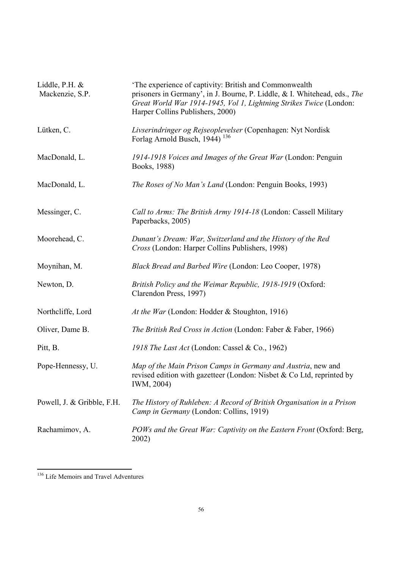| Liddle, P.H. $&$<br>Mackenzie, S.P. | 'The experience of captivity: British and Commonwealth<br>prisoners in Germany', in J. Bourne, P. Liddle, & I. Whitehead, eds., The<br>Great World War 1914-1945, Vol 1, Lightning Strikes Twice (London:<br>Harper Collins Publishers, 2000) |
|-------------------------------------|-----------------------------------------------------------------------------------------------------------------------------------------------------------------------------------------------------------------------------------------------|
| Lütken, C.                          | Livserindringer og Rejseoplevelser (Copenhagen: Nyt Nordisk<br>Forlag Arnold Busch, 1944) <sup>136</sup>                                                                                                                                      |
| MacDonald, L.                       | 1914-1918 Voices and Images of the Great War (London: Penguin<br>Books, 1988)                                                                                                                                                                 |
| MacDonald, L.                       | <i>The Roses of No Man's Land</i> (London: Penguin Books, 1993)                                                                                                                                                                               |
| Messinger, C.                       | Call to Arms: The British Army 1914-18 (London: Cassell Military<br>Paperbacks, 2005)                                                                                                                                                         |
| Moorehead, C.                       | Dunant's Dream: War, Switzerland and the History of the Red<br>Cross (London: Harper Collins Publishers, 1998)                                                                                                                                |
| Moynihan, M.                        | Black Bread and Barbed Wire (London: Leo Cooper, 1978)                                                                                                                                                                                        |
| Newton, D.                          | British Policy and the Weimar Republic, 1918-1919 (Oxford:<br>Clarendon Press, 1997)                                                                                                                                                          |
| Northcliffe, Lord                   | At the War (London: Hodder & Stoughton, 1916)                                                                                                                                                                                                 |
| Oliver, Dame B.                     | The British Red Cross in Action (London: Faber & Faber, 1966)                                                                                                                                                                                 |
| Pitt, B.                            | 1918 The Last Act (London: Cassel & Co., 1962)                                                                                                                                                                                                |
| Pope-Hennessy, U.                   | Map of the Main Prison Camps in Germany and Austria, new and<br>revised edition with gazetteer (London: Nisbet & Co Ltd, reprinted by<br>IWM, 2004)                                                                                           |
| Powell, J. & Gribble, F.H.          | The History of Ruhleben: A Record of British Organisation in a Prison<br>Camp in Germany (London: Collins, 1919)                                                                                                                              |
| Rachamimov, A.                      | POWs and the Great War: Captivity on the Eastern Front (Oxford: Berg,<br>2002)                                                                                                                                                                |

<sup>136</sup> Life Memoirs and Travel Adventures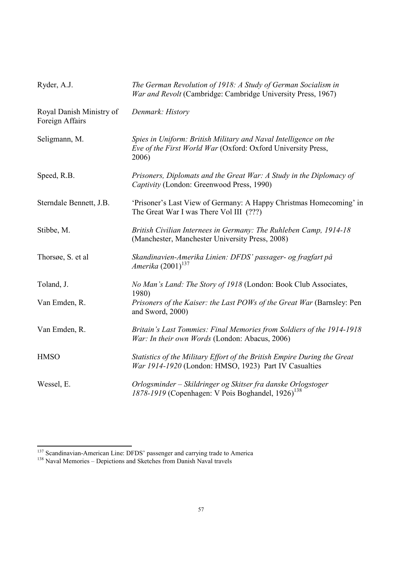| Ryder, A.J.                                 | The German Revolution of 1918: A Study of German Socialism in<br>War and Revolt (Cambridge: Cambridge University Press, 1967)             |  |  |
|---------------------------------------------|-------------------------------------------------------------------------------------------------------------------------------------------|--|--|
| Royal Danish Ministry of<br>Foreign Affairs | Denmark: History                                                                                                                          |  |  |
| Seligmann, M.                               | Spies in Uniform: British Military and Naval Intelligence on the<br>Eve of the First World War (Oxford: Oxford University Press,<br>2006) |  |  |
| Speed, R.B.                                 | Prisoners, Diplomats and the Great War: A Study in the Diplomacy of<br>Captivity (London: Greenwood Press, 1990)                          |  |  |
| Sterndale Bennett, J.B.                     | 'Prisoner's Last View of Germany: A Happy Christmas Homecoming' in<br>The Great War I was There Vol III (???)                             |  |  |
| Stibbe, M.                                  | British Civilian Internees in Germany: The Ruhleben Camp, 1914-18<br>(Manchester, Manchester University Press, 2008)                      |  |  |
| Thorsøe, S. et al.                          | Skandinavien-Amerika Linien: DFDS' passager- og fragfart på<br>Amerika $(2001)^{137}$                                                     |  |  |
| Toland, J.                                  | No Man's Land: The Story of 1918 (London: Book Club Associates,<br>1980)                                                                  |  |  |
| Van Emden, R.                               | Prisoners of the Kaiser: the Last POWs of the Great War (Barnsley: Pen<br>and Sword, 2000)                                                |  |  |
| Van Emden, R.                               | Britain's Last Tommies: Final Memories from Soldiers of the 1914-1918<br>War: In their own Words (London: Abacus, 2006)                   |  |  |
| <b>HMSO</b>                                 | Statistics of the Military Effort of the British Empire During the Great<br>War 1914-1920 (London: HMSO, 1923) Part IV Casualties         |  |  |
| Wessel, E.                                  | Orlogsminder - Skildringer og Skitser fra danske Orlogstoger<br>1878-1919 (Copenhagen: V Pois Boghandel, 1926) <sup>138</sup>             |  |  |

l

<sup>&</sup>lt;sup>137</sup> Scandinavian-American Line: DFDS' passenger and carrying trade to America

<sup>&</sup>lt;sup>138</sup> Naval Memories – Depictions and Sketches from Danish Naval travels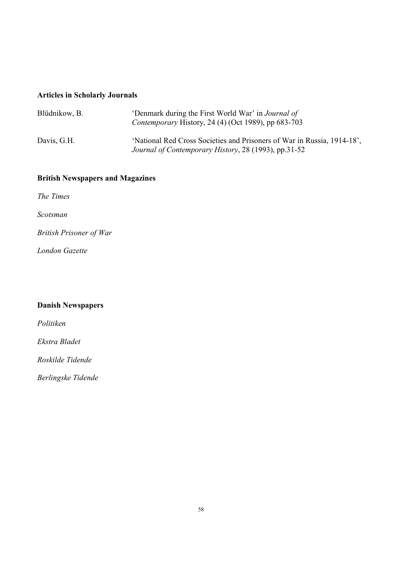#### **Articles in Scholarly Journals**

| Blüdnikow, B. | 'Denmark during the First World War' in <i>Journal of</i><br>Contemporary History, 24 (4) (Oct 1989), pp 683-703                |
|---------------|---------------------------------------------------------------------------------------------------------------------------------|
| Davis, G.H.   | 'National Red Cross Societies and Prisoners of War in Russia, 1914-18'.<br>Journal of Contemporary History, 28 (1993), pp.31-52 |

#### **British Newspapers and Magazines**

*The Times* 

*Scotsman*

*British Prisoner of War*

*London Gazette* 

#### **Danish Newspapers**

*Politiken* 

*Ekstra Bladet* 

*Roskilde Tidende* 

*Berlingske Tidende*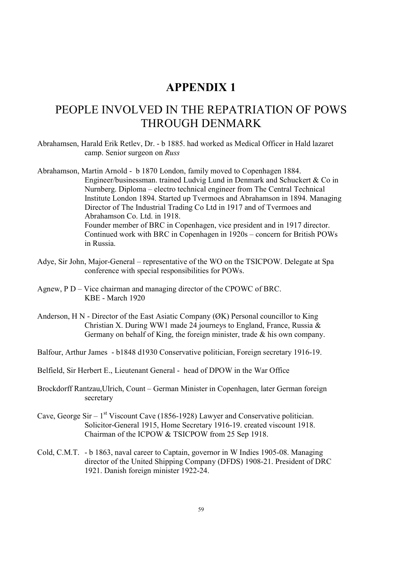### **APPENDIX 1**

# PEOPLE INVOLVED IN THE REPATRIATION OF POWS THROUGH DENMARK

Abrahamsen, Harald Erik Retlev, Dr. - b 1885. had worked as Medical Officer in Hald lazaret camp. Senior surgeon on *Russ*

Abrahamson, Martin Arnold - b 1870 London, family moved to Copenhagen 1884. Engineer/businessman. trained Ludvig Lund in Denmark and Schuckert & Co in Nurnberg. Diploma – electro technical engineer from The Central Technical Institute London 1894. Started up Tvermoes and Abrahamson in 1894. Managing Director of The Industrial Trading Co Ltd in 1917 and of Tvermoes and Abrahamson Co. Ltd. in 1918. Founder member of BRC in Copenhagen, vice president and in 1917 director. Continued work with BRC in Copenhagen in 1920s – concern for British POWs in Russia.

- Adye, Sir John, Major-General representative of the WO on the TSICPOW. Delegate at Spa conference with special responsibilities for POWs.
- Agnew, P D Vice chairman and managing director of the CPOWC of BRC. KBE - March 1920
- Anderson, H N Director of the East Asiatic Company (ØK) Personal councillor to King Christian X. During WW1 made 24 journeys to England, France, Russia & Germany on behalf of King, the foreign minister, trade & his own company.
- Balfour, Arthur James b1848 d1930 Conservative politician, Foreign secretary 1916-19.
- Belfield, Sir Herbert E., Lieutenant General head of DPOW in the War Office
- Brockdorff Rantzau,Ulrich, Count German Minister in Copenhagen, later German foreign secretary
- Cave, George  $\text{Sir} 1^{\text{st}}$  Viscount Cave (1856-1928) Lawyer and Conservative politician. Solicitor-General 1915, Home Secretary 1916-19. created viscount 1918. Chairman of the ICPOW & TSICPOW from 25 Sep 1918.
- Cold, C.M.T. b 1863, naval career to Captain, governor in W Indies 1905-08. Managing director of the United Shipping Company (DFDS) 1908-21. President of DRC 1921. Danish foreign minister 1922-24.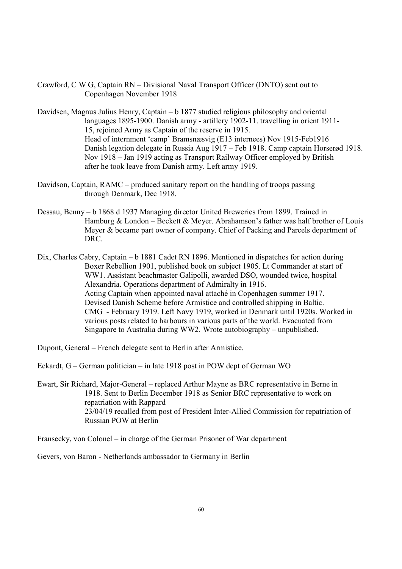Crawford, C W G, Captain RN – Divisional Naval Transport Officer (DNTO) sent out to Copenhagen November 1918

Davidsen, Magnus Julius Henry, Captain – b 1877 studied religious philosophy and oriental languages 1895-1900. Danish army - artillery 1902-11. travelling in orient 1911- 15, rejoined Army as Captain of the reserve in 1915. Head of internment 'camp' Bramsnæsvig (E13 internees) Nov 1915-Feb1916 Danish legation delegate in Russia Aug 1917 – Feb 1918. Camp captain Horserød 1918. Nov 1918 – Jan 1919 acting as Transport Railway Officer employed by British after he took leave from Danish army. Left army 1919.

- Davidson, Captain, RAMC produced sanitary report on the handling of troops passing through Denmark, Dec 1918.
- Dessau, Benny b 1868 d 1937 Managing director United Breweries from 1899. Trained in Hamburg & London – Beckett & Meyer. Abrahamson's father was half brother of Louis Meyer & became part owner of company. Chief of Packing and Parcels department of DRC.

Dix, Charles Cabry, Captain – b 1881 Cadet RN 1896. Mentioned in dispatches for action during Boxer Rebellion 1901, published book on subject 1905. Lt Commander at start of WW1. Assistant beachmaster Galipolli, awarded DSO, wounded twice, hospital Alexandria. Operations department of Admiralty in 1916. Acting Captain when appointed naval attaché in Copenhagen summer 1917. Devised Danish Scheme before Armistice and controlled shipping in Baltic. CMG - February 1919. Left Navy 1919, worked in Denmark until 1920s. Worked in various posts related to harbours in various parts of the world. Evacuated from Singapore to Australia during WW2. Wrote autobiography – unpublished.

Dupont, General – French delegate sent to Berlin after Armistice.

Eckardt, G – German politician – in late 1918 post in POW dept of German WO

Ewart, Sir Richard, Major-General – replaced Arthur Mayne as BRC representative in Berne in 1918. Sent to Berlin December 1918 as Senior BRC representative to work on repatriation with Rappard 23/04/19 recalled from post of President Inter-Allied Commission for repatriation of Russian POW at Berlin

Fransecky, von Colonel – in charge of the German Prisoner of War department

Gevers, von Baron - Netherlands ambassador to Germany in Berlin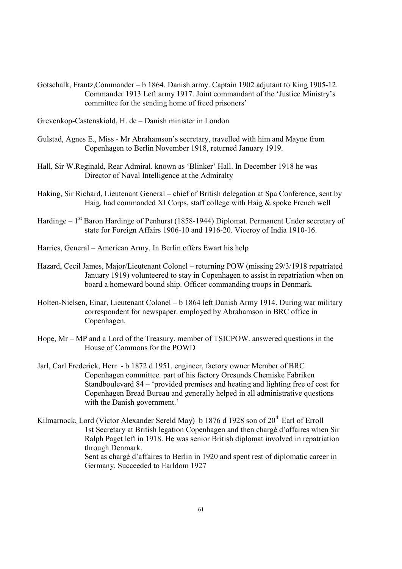Gotschalk, Frantz,Commander – b 1864. Danish army. Captain 1902 adjutant to King 1905-12. Commander 1913 Left army 1917. Joint commandant of the 'Justice Ministry's committee for the sending home of freed prisoners'

Grevenkop-Castenskiold, H. de – Danish minister in London

- Gulstad, Agnes E., Miss Mr Abrahamson's secretary, travelled with him and Mayne from Copenhagen to Berlin November 1918, returned January 1919.
- Hall, Sir W.Reginald, Rear Admiral. known as 'Blinker' Hall. In December 1918 he was Director of Naval Intelligence at the Admiralty
- Haking, Sir Richard, Lieutenant General chief of British delegation at Spa Conference, sent by Haig. had commanded XI Corps, staff college with Haig & spoke French well
- Hardinge  $1<sup>st</sup>$  Baron Hardinge of Penhurst (1858-1944) Diplomat. Permanent Under secretary of state for Foreign Affairs 1906-10 and 1916-20. Viceroy of India 1910-16.
- Harries, General American Army. In Berlin offers Ewart his help
- Hazard, Cecil James, Major/Lieutenant Colonel returning POW (missing 29/3/1918 repatriated January 1919) volunteered to stay in Copenhagen to assist in repatriation when on board a homeward bound ship. Officer commanding troops in Denmark.
- Holten-Nielsen, Einar, Lieutenant Colonel b 1864 left Danish Army 1914. During war military correspondent for newspaper. employed by Abrahamson in BRC office in Copenhagen.
- Hope, Mr MP and a Lord of the Treasury. member of TSICPOW. answered questions in the House of Commons for the POWD
- Jarl, Carl Frederick, Herr b 1872 d 1951. engineer, factory owner Member of BRC Copenhagen committee. part of his factory Oresunds Chemiske Fabriken Standboulevard 84 – 'provided premises and heating and lighting free of cost for Copenhagen Bread Bureau and generally helped in all administrative questions with the Danish government.'
- Kilmarnock, Lord (Victor Alexander Sereld May) b 1876 d 1928 son of  $20<sup>th</sup>$  Earl of Erroll 1st Secretary at British legation Copenhagen and then chargé d'affaires when Sir Ralph Paget left in 1918. He was senior British diplomat involved in repatriation through Denmark. Sent as chargé d'affaires to Berlin in 1920 and spent rest of diplomatic career in Germany. Succeeded to Earldom 1927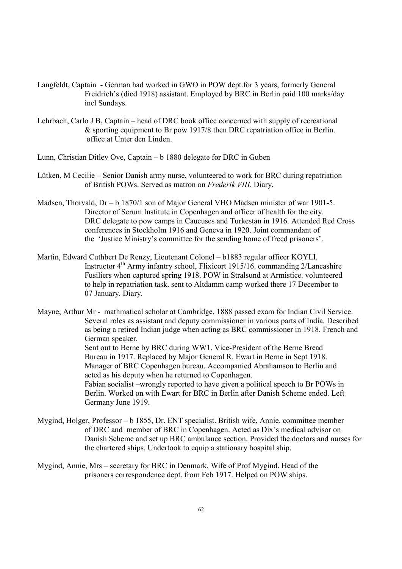- Langfeldt, Captain German had worked in GWO in POW dept.for 3 years, formerly General Freidrich's (died 1918) assistant. Employed by BRC in Berlin paid 100 marks/day incl Sundays.
- Lehrbach, Carlo J B, Captain head of DRC book office concerned with supply of recreational & sporting equipment to Br pow 1917/8 then DRC repatriation office in Berlin. office at Unter den Linden.
- Lunn, Christian Ditlev Ove, Captain b 1880 delegate for DRC in Guben
- Lütken, M Cecilie Senior Danish army nurse, volunteered to work for BRC during repatriation of British POWs. Served as matron on *Frederik VIII*. Diary.
- Madsen, Thorvald, Dr b 1870/1 son of Major General VHO Madsen minister of war 1901-5. Director of Serum Institute in Copenhagen and officer of health for the city. DRC delegate to pow camps in Caucuses and Turkestan in 1916. Attended Red Cross conferences in Stockholm 1916 and Geneva in 1920. Joint commandant of the 'Justice Ministry's committee for the sending home of freed prisoners'.
- Martin, Edward Cuthbert De Renzy, Lieutenant Colonel b1883 regular officer KOYLI. Instructor  $4<sup>th</sup>$  Army infantry school, Flixicort 1915/16. commanding 2/Lancashire Fusiliers when captured spring 1918. POW in Stralsund at Armistice. volunteered to help in repatriation task. sent to Altdamm camp worked there 17 December to 07 January. Diary.

Mayne, Arthur Mr - mathmatical scholar at Cambridge, 1888 passed exam for Indian Civil Service. Several roles as assistant and deputy commissioner in various parts of India. Described as being a retired Indian judge when acting as BRC commissioner in 1918. French and German speaker. Sent out to Berne by BRC during WW1. Vice-President of the Berne Bread Bureau in 1917. Replaced by Major General R. Ewart in Berne in Sept 1918. Manager of BRC Copenhagen bureau. Accompanied Abrahamson to Berlin and acted as his deputy when he returned to Copenhagen. Fabian socialist –wrongly reported to have given a political speech to Br POWs in Berlin. Worked on with Ewart for BRC in Berlin after Danish Scheme ended. Left Germany June 1919.

- Mygind, Holger, Professor b 1855, Dr. ENT specialist. British wife, Annie. committee member of DRC and member of BRC in Copenhagen. Acted as Dix's medical advisor on Danish Scheme and set up BRC ambulance section. Provided the doctors and nurses for the chartered ships. Undertook to equip a stationary hospital ship.
- Mygind, Annie, Mrs secretary for BRC in Denmark. Wife of Prof Mygind. Head of the prisoners correspondence dept. from Feb 1917. Helped on POW ships.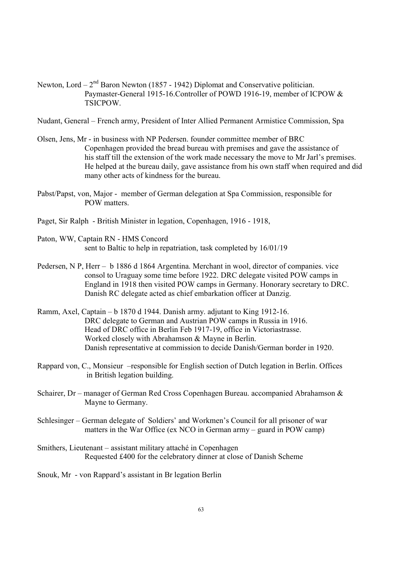Newton, Lord –  $2<sup>nd</sup>$  Baron Newton (1857 - 1942) Diplomat and Conservative politician. Paymaster-General 1915-16.Controller of POWD 1916-19, member of ICPOW & **TSICPOW.** 

Nudant, General – French army, President of Inter Allied Permanent Armistice Commission, Spa

- Olsen, Jens, Mr in business with NP Pedersen. founder committee member of BRC Copenhagen provided the bread bureau with premises and gave the assistance of his staff till the extension of the work made necessary the move to Mr Jarl's premises. He helped at the bureau daily, gave assistance from his own staff when required and did many other acts of kindness for the bureau.
- Pabst/Papst, von, Major member of German delegation at Spa Commission, responsible for POW matters.
- Paget, Sir Ralph British Minister in legation, Copenhagen, 1916 1918,
- Paton, WW, Captain RN HMS Concord sent to Baltic to help in repatriation, task completed by 16/01/19
- Pedersen, N P, Herr b 1886 d 1864 Argentina. Merchant in wool, director of companies. vice consol to Uraguay some time before 1922. DRC delegate visited POW camps in England in 1918 then visited POW camps in Germany. Honorary secretary to DRC. Danish RC delegate acted as chief embarkation officer at Danzig.
- Ramm, Axel, Captain b 1870 d 1944. Danish army. adjutant to King 1912-16. DRC delegate to German and Austrian POW camps in Russia in 1916. Head of DRC office in Berlin Feb 1917-19, office in Victoriastrasse. Worked closely with Abrahamson & Mayne in Berlin. Danish representative at commission to decide Danish/German border in 1920.
- Rappard von, C., Monsieur –responsible for English section of Dutch legation in Berlin. Offices in British legation building.
- Schairer, Dr manager of German Red Cross Copenhagen Bureau. accompanied Abrahamson & Mayne to Germany.
- Schlesinger German delegate of Soldiers' and Workmen's Council for all prisoner of war matters in the War Office (ex NCO in German army – guard in POW camp)
- Smithers, Lieutenant assistant military attaché in Copenhagen Requested £400 for the celebratory dinner at close of Danish Scheme
- Snouk, Mr von Rappard's assistant in Br legation Berlin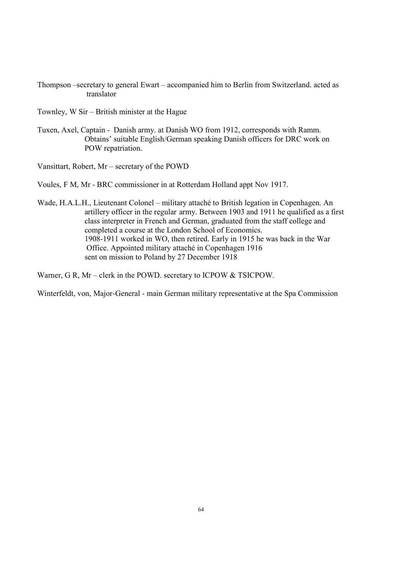- Thompson –secretary to general Ewart accompanied him to Berlin from Switzerland. acted as translator
- Townley, W Sir British minister at the Hague
- Tuxen, Axel, Captain Danish army. at Danish WO from 1912, corresponds with Ramm. Obtains' suitable English/German speaking Danish officers for DRC work on POW repatriation.

Vansittart, Robert, Mr – secretary of the POWD

Voules, F M, Mr - BRC commissioner in at Rotterdam Holland appt Nov 1917.

Wade, H.A.L.H., Lieutenant Colonel – military attaché to British legation in Copenhagen. An artillery officer in the regular army. Between 1903 and 1911 he qualified as a first class interpreter in French and German, graduated from the staff college and completed a course at the London School of Economics. 1908-1911 worked in WO, then retired. Early in 1915 he was back in the War Office. Appointed military attaché in Copenhagen 1916 sent on mission to Poland by 27 December 1918

Warner, G R, Mr – clerk in the POWD. secretary to ICPOW & TSICPOW.

Winterfeldt, von, Major-General - main German military representative at the Spa Commission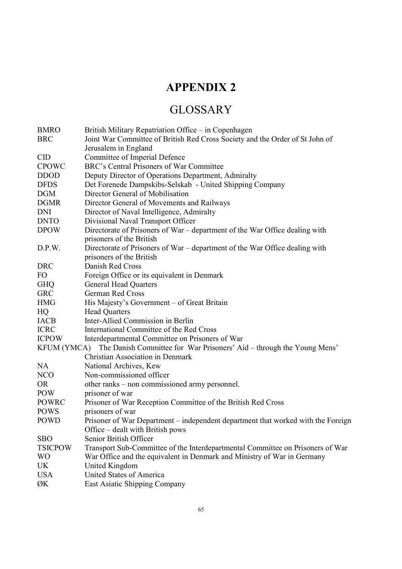# **APPENDIX 2**

# GLOSSARY

| <b>BMRO</b>    | British Military Repatriation Office – in Copenhagen                              |
|----------------|-----------------------------------------------------------------------------------|
| <b>BRC</b>     | Joint War Committee of British Red Cross Society and the Order of St John of      |
|                | Jerusalem in England                                                              |
| <b>CID</b>     | Committee of Imperial Defence                                                     |
| <b>CPOWC</b>   | BRC's Central Prisoners of War Committee                                          |
| <b>DDOD</b>    | Deputy Director of Operations Department, Admiralty                               |
| <b>DFDS</b>    | Det Forenede Dampskibs-Selskab - United Shipping Company                          |
| <b>DGM</b>     | Director General of Mobilisation                                                  |
| <b>DGMR</b>    | Director General of Movements and Railways                                        |
| <b>DNI</b>     | Director of Naval Intelligence, Admiralty                                         |
| <b>DNTO</b>    | Divisional Naval Transport Officer                                                |
| <b>DPOW</b>    | Directorate of Prisoners of War – department of the War Office dealing with       |
|                | prisoners of the British                                                          |
| D.P.W.         | Directorate of Prisoners of War – department of the War Office dealing with       |
|                | prisoners of the British                                                          |
| <b>DRC</b>     | Danish Red Cross                                                                  |
| FO             | Foreign Office or its equivalent in Denmark                                       |
| <b>GHQ</b>     | <b>General Head Quarters</b>                                                      |
| <b>GRC</b>     | <b>German Red Cross</b>                                                           |
| <b>HMG</b>     | His Majesty's Government – of Great Britain                                       |
| HQ             | <b>Head Quarters</b>                                                              |
| <b>IACB</b>    | Inter-Allied Commission in Berlin                                                 |
| <b>ICRC</b>    | International Committee of the Red Cross                                          |
| <b>ICPOW</b>   | Interdepartmental Committee on Prisoners of War                                   |
|                | KFUM (YMCA) The Danish Committee for War Prisoners' Aid – through the Young Mens' |
|                | <b>Christian Association in Denmark</b>                                           |
| NA             | National Archives, Kew                                                            |
| NCO            | Non-commissioned officer                                                          |
| <b>OR</b>      | other ranks – non commissioned army personnel.                                    |
| <b>POW</b>     | prisoner of war                                                                   |
| POWRC          | Prisoner of War Reception Committee of the British Red Cross                      |
| <b>POWS</b>    | prisoners of war                                                                  |
| <b>POWD</b>    | Prisoner of War Department – independent department that worked with the Foreign  |
|                | Office – dealt with British pows                                                  |
| <b>SBO</b>     | Senior British Officer                                                            |
| <b>TSICPOW</b> | Transport Sub-Committee of the Interdepartmental Committee on Prisoners of War    |
| <b>WO</b>      | War Office and the equivalent in Denmark and Ministry of War in Germany           |
| UK             | United Kingdom                                                                    |
| <b>USA</b>     | United States of America                                                          |
| ØK             | <b>East Asiatic Shipping Company</b>                                              |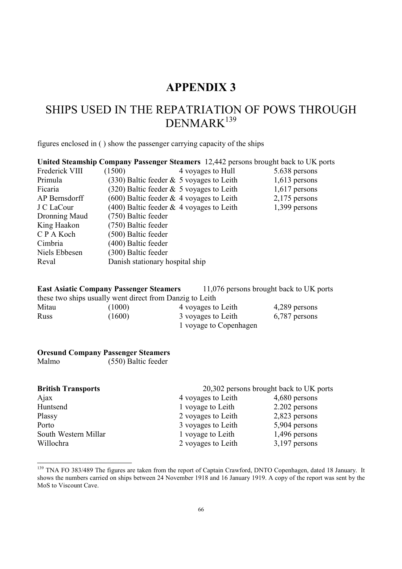# **APPENDIX 3**

# SHIPS USED IN THE REPATRIATION OF POWS THROUGH DENMARK<sup>139</sup>

figures enclosed in ( ) show the passenger carrying capacity of the ships

|                | United Steamship Company Passenger Steamers 12,442 persons brought back to UK ports |                 |
|----------------|-------------------------------------------------------------------------------------|-----------------|
| Frederick VIII | 4 voyages to Hull<br>(1500)                                                         | 5.638 persons   |
| Primula        | $(330)$ Baltic feeder & 5 voyages to Leith                                          | $1,613$ persons |
| Ficaria        | $(320)$ Baltic feeder $& 5$ voyages to Leith                                        | $1,617$ persons |
| AP Bernsdorff  | $(600)$ Baltic feeder & 4 voyages to Leith                                          | $2,175$ persons |
| J C LaCour     | $(400)$ Baltic feeder $& 4$ voyages to Leith                                        | 1,399 persons   |
| Dronning Maud  | (750) Baltic feeder                                                                 |                 |
| King Haakon    | (750) Baltic feeder                                                                 |                 |
| C P A Koch     | (500) Baltic feeder                                                                 |                 |
| Cimbria        | (400) Baltic feeder                                                                 |                 |
| Niels Ebbesen  | (300) Baltic feeder                                                                 |                 |
| Reval          | Danish stationary hospital ship                                                     |                 |

**East Asiatic Company Passenger Steamers** 11,076 persons brought back to UK ports these two ships usually went direct from Danzig to Leith

| Mitau | (1000) | 4 voyages to Leith     | 4,289 persons |
|-------|--------|------------------------|---------------|
| Russ  | (1600) | 3 voyages to Leith     | 6,787 persons |
|       |        | 1 voyage to Copenhagen |               |

#### **Oresund Company Passenger Steamers**

Malmo (550) Baltic feeder

| <b>British Transports</b> | 20,302 persons brought back to UK ports |                 |  |  |  |  |  |  |
|---------------------------|-----------------------------------------|-----------------|--|--|--|--|--|--|
| Ajax                      | 4 voyages to Leith                      | 4,680 persons   |  |  |  |  |  |  |
| Huntsend                  | 1 voyage to Leith                       | 2.202 persons   |  |  |  |  |  |  |
| Plassy                    | 2 voyages to Leith                      | 2,823 persons   |  |  |  |  |  |  |
| Porto                     | 3 voyages to Leith                      | 5,904 persons   |  |  |  |  |  |  |
| South Western Millar      | 1 voyage to Leith                       | $1,496$ persons |  |  |  |  |  |  |
| Willochra                 | 2 voyages to Leith                      | $3,197$ persons |  |  |  |  |  |  |

<sup>&</sup>lt;sup>139</sup> TNA FO 383/489 The figures are taken from the report of Captain Crawford, DNTO Copenhagen, dated 18 January. It shows the numbers carried on ships between 24 November 1918 and 16 January 1919. A copy of the report was sent by the MoS to Viscount Cave.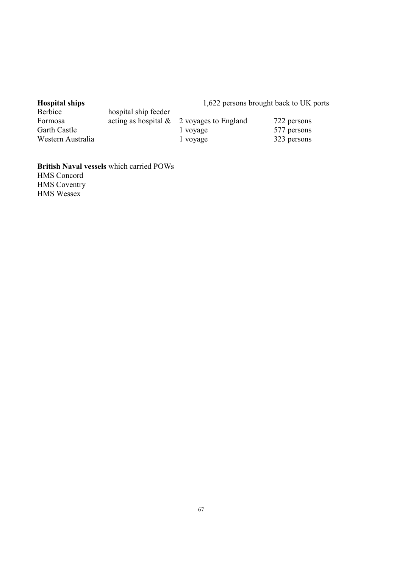# Hospital ships<br>Berbice

# 1,622 persons brought back to UK ports

| Deluice           | nosphai ship iccuci |                                              |             |
|-------------------|---------------------|----------------------------------------------|-------------|
| Formosa           |                     | acting as hospital $\&$ 2 voyages to England | 722 persons |
| Garth Castle      |                     | l vovage                                     | 577 persons |
| Western Australia |                     | 1 voyage                                     | 323 persons |

**British Naval vessels** which carried POWs HMS Concord HMS Coventry HMS Wessex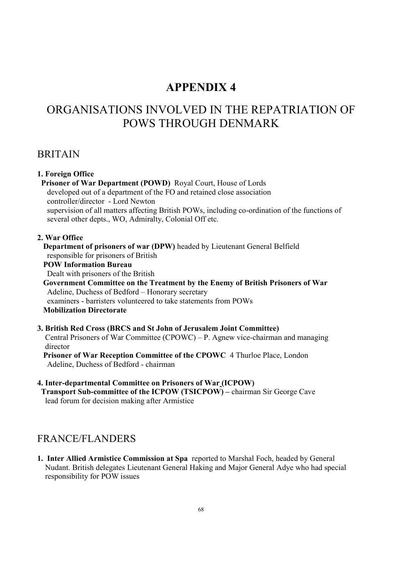## **APPENDIX 4**

# ORGANISATIONS INVOLVED IN THE REPATRIATION OF POWS THROUGH DENMARK

#### BRITAIN

#### **1. Foreign Office Prisoner of War Department (POWD)** Royal Court, House of Lords developed out of a department of the FO and retained close association controller/director - Lord Newton supervision of all matters affecting British POWs, including co-ordination of the functions of several other depts., WO, Admiralty, Colonial Off etc. **2. War Office Department of prisoners of war (DPW)** headed by Lieutenant General Belfield

responsible for prisoners of British

#### **POW Information Bureau**

Dealt with prisoners of the British

 **Government Committee on the Treatment by the Enemy of British Prisoners of War** Adeline, Duchess of Bedford – Honorary secretary examiners - barristers volunteered to take statements from POWs **Mobilization Directorate** 

#### **3. British Red Cross (BRCS and St John of Jerusalem Joint Committee)**  Central Prisoners of War Committee (CPOWC) – P. Agnew vice-chairman and managing director

 **Prisoner of War Reception Committee of the CPOWC** 4 Thurloe Place, London Adeline, Duchess of Bedford - chairman

#### **4. Inter-departmental Committee on Prisoners of War (ICPOW) Transport Sub-committee of the ICPOW (TSICPOW) – chairman Sir George Cave** lead forum for decision making after Armistice

# FRANCE/FLANDERS

**1. Inter Allied Armistice Commission at Spa** reported to Marshal Foch, headed by General Nudant. British delegates Lieutenant General Haking and Major General Adye who had special responsibility for POW issues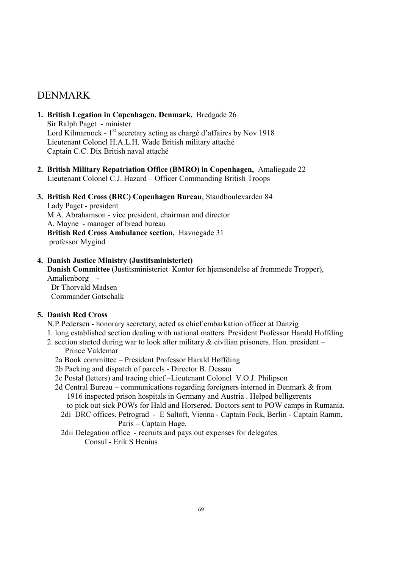#### DENMARK

- **1. British Legation in Copenhagen, Denmark,** Bredgade 26 Sir Ralph Paget - minister Lord Kilmarnock - 1<sup>st</sup> secretary acting as chargé d'affaires by Nov 1918 Lieutenant Colonel H.A.L.H. Wade British military attaché Captain C.C. Dix British naval attaché
- **2. British Military Repatriation Office (BMRO) in Copenhagen,** Amaliegade 22 Lieutenant Colonel C.J. Hazard – Officer Commanding British Troops

#### **3. British Red Cross (BRC) Copenhagen Bureau**, Standboulevarden 84

 Lady Paget - president M.A. Abrahamson - vice president, chairman and director A. Mayne - manager of bread bureau **British Red Cross Ambulance section,** Havnegade 31 professor Mygind

#### **4. Danish Justice Ministry (Justitsministeriet)**

 **Danish Committee** (Justitsministeriet Kontor for hjemsendelse af fremmede Tropper), Amalienborg - Dr Thorvald Madsen

Commander Gotschalk

#### **5. Danish Red Cross**

N.P.Pedersen - honorary secretary, acted as chief embarkation officer at Danzig

- 1. long established section dealing with national matters. President Professor Harald Hoffding
- 2. section started during war to look after military & civilian prisoners. Hon. president Prince Valdemar
	- 2a Book committee President Professor Harald Høffding
	- 2b Packing and dispatch of parcels Director B. Dessau
	- 2c Postal (letters) and tracing chief –Lieutenant Colonel V.O.J. Philipson
	- 2d Central Bureau communications regarding foreigners interned in Denmark & from 1916 inspected prison hospitals in Germany and Austria . Helped belligerents
		- to pick out sick POWs for Hald and Horserød. Doctors sent to POW camps in Rumania. 2di DRC offices. Petrograd - E Saltoft, Vienna - Captain Fock, Berlin - Captain Ramm,
			- Paris Captain Hage.
		- 2dii Delegation office recruits and pays out expenses for delegates Consul - Erik S Henius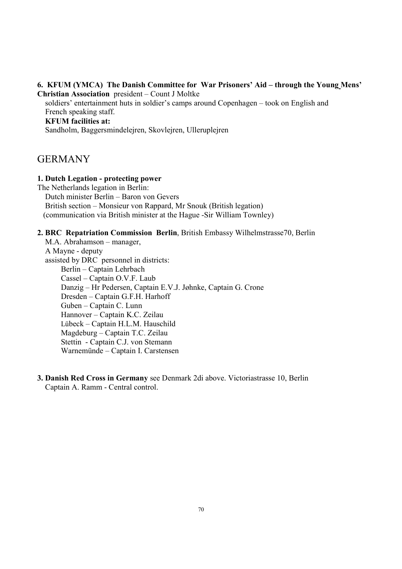#### **6. KFUM (YMCA) The Danish Committee for War Prisoners' Aid – through the Young Mens' Christian Association** president – Count J Moltke

 soldiers' entertainment huts in soldier's camps around Copenhagen – took on English and French speaking staff.

#### **KFUM facilities at:**

Sandholm, Baggersmindelejren, Skovlejren, Ulleruplejren

#### GERMANY

#### **1. Dutch Legation - protecting power**

The Netherlands legation in Berlin: Dutch minister Berlin – Baron von Gevers British section – Monsieur von Rappard, Mr Snouk (British legation) (communication via British minister at the Hague -Sir William Townley)

#### **2. BRC Repatriation Commission Berlin**, British Embassy Wilhelmstrasse70, Berlin

 M.A. Abrahamson – manager, A Mayne - deputy assisted by DRC personnel in districts: Berlin – Captain Lehrbach Cassel – Captain O.V.F. Laub Danzig – Hr Pedersen, Captain E.V.J. Jøhnke, Captain G. Crone Dresden – Captain G.F.H. Harhoff Guben – Captain C. Lunn Hannover – Captain K.C. Zeilau Lübeck – Captain H.L.M. Hauschild Magdeburg – Captain T.C. Zeilau Stettin - Captain C.J. von Stemann Warnemünde – Captain I. Carstensen

**3. Danish Red Cross in Germany** see Denmark 2di above. Victoriastrasse 10, Berlin Captain A. Ramm - Central control.